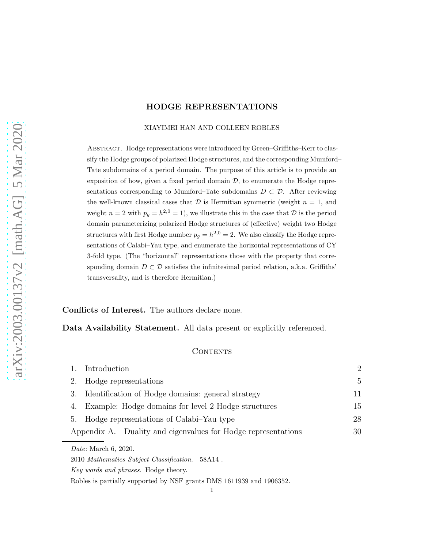#### XIAYIMEI HAN AND COLLEEN ROBLES

Abstract. Hodge representations were introduced by Green–Griffiths–Kerr to classify the Hodge groups of polarized Hodge structures, and the corresponding Mumford– Tate subdomains of a period domain. The purpose of this article is to provide an exposition of how, given a fixed period domain  $\mathcal{D}$ , to enumerate the Hodge representations corresponding to Mumford–Tate subdomains  $D \subset \mathcal{D}$ . After reviewing the well-known classical cases that  $D$  is Hermitian symmetric (weight  $n = 1$ , and weight  $n = 2$  with  $p_g = h^{2,0} = 1$ , we illustrate this in the case that  $D$  is the period domain parameterizing polarized Hodge structures of (effective) weight two Hodge structures with first Hodge number  $p_g = h^{2,0} = 2$ . We also classify the Hodge representations of Calabi–Yau type, and enumerate the horizontal representations of CY 3-fold type. (The "horizontal" representations those with the property that corresponding domain  $D \subset \mathcal{D}$  satisfies the infinitesimal period relation, a.k.a. Griffiths' transversality, and is therefore Hermitian.)

Conflicts of Interest. The authors declare none.

# Data Availability Statement. All data present or explicitly referenced.

## CONTENTS

| 1. | Introduction                                                  | $\overline{2}$ |  |  |  |
|----|---------------------------------------------------------------|----------------|--|--|--|
|    | 2. Hodge representations                                      |                |  |  |  |
| 3. | Identification of Hodge domains: general strategy             |                |  |  |  |
|    | 4. Example: Hodge domains for level 2 Hodge structures        |                |  |  |  |
|    | 5. Hodge representations of Calabi–Yau type                   |                |  |  |  |
|    | Appendix A. Duality and eigenvalues for Hodge representations | 30             |  |  |  |
|    | <i>Date:</i> March 6, 2020.                                   |                |  |  |  |
|    | 2010 Mathematics Subject Classification. 58A14.               |                |  |  |  |

*Key words and phrases.* Hodge theory.

Robles is partially supported by NSF grants DMS 1611939 and 1906352.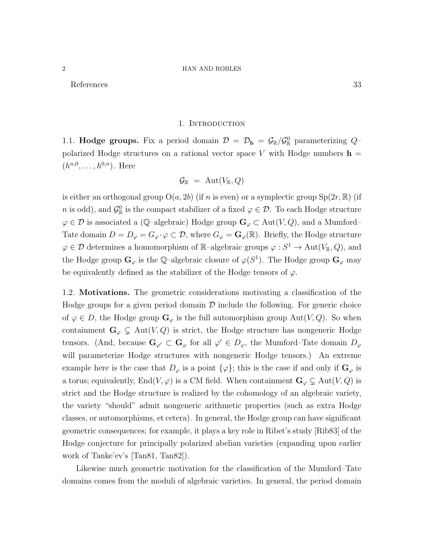References 33

#### 1. INTRODUCTION

1.1. **Hodge groups.** Fix a period domain  $\mathcal{D} = \mathcal{D}_h = \mathcal{G}_{\mathbb{R}}/\mathcal{G}_{\mathbb{R}}^0$  parameterizing  $Q$ polarized Hodge structures on a rational vector space V with Hodge numbers  $h =$  $(h^{n,0}, \ldots, h^{0,n})$ . Here

$$
\mathcal{G}_{\mathbb{R}} \,\, = \,\, \text{Aut}(V_{\mathbb{R}},Q)
$$

is either an orthogonal group  $O(a, 2b)$  (if n is even) or a symplectic group  $Sp(2r, \mathbb{R})$  (if *n* is odd), and  $\mathcal{G}_{\mathbb{R}}^0$  is the compact stabilizer of a fixed  $\varphi \in \mathcal{D}$ . To each Hodge structure  $\varphi \in \mathcal{D}$  is associated a (Q–algebraic) Hodge group  $\mathbf{G}_{\varphi} \subset \text{Aut}(V, Q)$ , and a Mumford– Tate domain  $D = D_{\varphi} = G_{\varphi} \cdot \varphi \subset \mathcal{D}$ , where  $G_{\varphi} = \mathbf{G}_{\varphi}(\mathbb{R})$ . Briefly, the Hodge structure  $\varphi \in \mathcal{D}$  determines a homomorphism of R-algebraic groups  $\varphi: S^1 \to \text{Aut}(V_{\mathbb{R}}, Q)$ , and the Hodge group  $\mathbf{G}_{\varphi}$  is the Q-algebraic closure of  $\varphi(S^1)$ . The Hodge group  $\mathbf{G}_{\varphi}$  may be equivalently defined as the stabilizer of the Hodge tensors of  $\varphi$ .

1.2. Motivations. The geometric considerations motivating a classification of the Hodge groups for a given period domain  $\mathcal D$  include the following. For generic choice of  $\varphi \in D$ , the Hodge group  $\mathbf{G}_{\varphi}$  is the full automorphism group Aut $(V, Q)$ . So when containment  $\mathbf{G}_{\varphi} \subsetneq \text{Aut}(V, Q)$  is strict, the Hodge structure has nongeneric Hodge tensors. (And, because  $\mathbf{G}_{\varphi'} \subset \mathbf{G}_{\varphi}$  for all  $\varphi' \in D_{\varphi}$ , the Mumford–Tate domain  $D_{\varphi}$ will parameterize Hodge structures with nongeneric Hodge tensors.) An extreme example here is the case that  $D_{\varphi}$  is a point  $\{\varphi\}$ ; this is the case if and only if  $\mathbf{G}_{\varphi}$  is a torus; equivalently, End(V,  $\varphi$ ) is a CM field. When containment  $\mathbf{G}_{\varphi} \subsetneq \text{Aut}(V, Q)$  is strict and the Hodge structure is realized by the cohomology of an algebraic variety, the variety "should" admit nongeneric arithmetic properties (such as extra Hodge classes, or automorphisms, et cetera). In general, the Hodge group can have significant geometric consequences; for example, it plays a key role in Ribet's study [Rib83] of the Hodge conjecture for principally polarized abelian varieties (expanding upon earlier work of Tanke'ev's [Tan81, Tan82]).

Likewise much geometric motivation for the classification of the Mumford–Tate domains comes from the moduli of algebraic varieties. In general, the period domain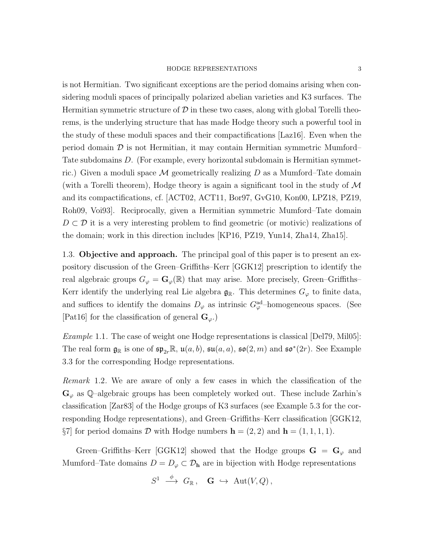is not Hermitian. Two significant exceptions are the period domains arising when considering moduli spaces of principally polarized abelian varieties and K3 surfaces. The Hermitian symmetric structure of  $\mathcal D$  in these two cases, along with global Torelli theorems, is the underlying structure that has made Hodge theory such a powerful tool in the study of these moduli spaces and their compactifications [Laz16]. Even when the period domain  $\mathcal D$  is not Hermitian, it may contain Hermitian symmetric Mumford– Tate subdomains D. (For example, every horizontal subdomain is Hermitian symmetric.) Given a moduli space  $\mathcal M$  geometrically realizing D as a Mumford–Tate domain (with a Torelli theorem), Hodge theory is again a significant tool in the study of  $\mathcal M$ and its compactifications, cf. [ACT02, ACT11, Bor97, GvG10, Kon00, LPZ18, PZ19, Roh09, Voi93]. Reciprocally, given a Hermitian symmetric Mumford–Tate domain  $D \subset \mathcal{D}$  it is a very interesting problem to find geometric (or motivic) realizations of the domain; work in this direction includes [KP16, PZ19, Yun14, Zha14, Zha15].

1.3. Objective and approach. The principal goal of this paper is to present an expository discussion of the Green–Griffiths–Kerr [GGK12] prescription to identify the real algebraic groups  $G_{\varphi} = \mathbf{G}_{\varphi}(\mathbb{R})$  that may arise. More precisely, Green–Griffiths– Kerr identify the underlying real Lie algebra  $\mathfrak{g}_{\mathbb{R}}$ . This determines  $G_{\varphi}$  to finite data, and suffices to identify the domains  $D_{\varphi}$  as intrinsic  $G_{\varphi}^{\text{ad}}$ -homogeneous spaces. (See [Pat16] for the classification of general  $\mathbf{G}_{\varphi}$ .)

Example 1.1. The case of weight one Hodge representations is classical [Del79, Mil05]: The real form  $\mathfrak{g}_{\mathbb{R}}$  is one of  $\mathfrak{sp}_{2r}\mathbb{R}$ ,  $\mathfrak{u}(a, b)$ ,  $\mathfrak{su}(a, a)$ ,  $\mathfrak{so}(2, m)$  and  $\mathfrak{so}^*(2r)$ . See Example 3.3 for the corresponding Hodge representations.

Remark 1.2. We are aware of only a few cases in which the classification of the  $\mathbf{G}_{\varphi}$  as Q-algebraic groups has been completely worked out. These include Zarhin's classification [Zar83] of the Hodge groups of K3 surfaces (see Example 5.3 for the corresponding Hodge representations), and Green–Griffiths–Kerr classification [GGK12,  $\S7$  for period domains D with Hodge numbers  $\mathbf{h} = (2, 2)$  and  $\mathbf{h} = (1, 1, 1, 1)$ .

Green–Griffiths–Kerr [GGK12] showed that the Hodge groups  $G = G_{\varphi}$  and Mumford–Tate domains  $D = D_{\varphi} \subset \mathcal{D}_{h}$  are in bijection with Hodge representations

$$
S^1 \ \stackrel{\phi}{\longrightarrow} \ G_{\mathbb{R}} \ , \quad \mathbf{G} \ \hookrightarrow \ \mathrm{Aut}(V, Q) \ ,
$$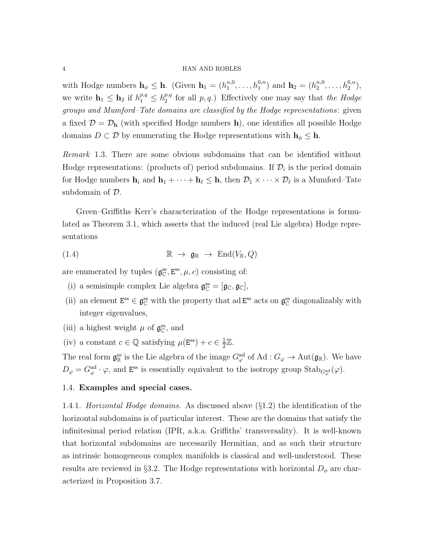with Hodge numbers  $\mathbf{h}_{\phi} \leq \mathbf{h}$ . (Given  $\mathbf{h}_1 = (h_1^{n,0})$  $\mathbf{h}_1^{n,0}, \ldots, \mathbf{h}_1^{0,n}$  and  $\mathbf{h}_2 = (h_2^{n,0})$  $n,0 \n2$ , ...,  $h_2^{0,n}$ ), we write  $\mathbf{h}_1 \leq \mathbf{h}_2$  if  $h_1^{p,q} \leq h_2^{p,q}$  $\binom{p,q}{2}$  for all  $p,q$ .) Effectively one may say that the Hodge groups and Mumford–Tate domains are classified by the Hodge representations: given a fixed  $\mathcal{D} = \mathcal{D}_{h}$  (with specified Hodge numbers h), one identifies all possible Hodge domains  $D \subset \mathcal{D}$  by enumerating the Hodge representations with  $h_{\phi} \leq h$ .

Remark 1.3. There are some obvious subdomains that can be identified without Hodge representations: (products of) period subdomains. If  $\mathcal{D}_i$  is the period domain for Hodge numbers  $\mathbf{h}_i$  and  $\mathbf{h}_1 + \cdots + \mathbf{h}_\ell \leq \mathbf{h}$ , then  $\mathcal{D}_1 \times \cdots \times \mathcal{D}_\ell$  is a Mumford–Tate subdomain of D.

Green–Griffiths–Kerr's characterization of the Hodge representations is formulated as Theorem 3.1, which asserts that the induced (real Lie algebra) Hodge representations

$$
(1.4) \t\t \mathbb{R} \to \mathfrak{g}_{\mathbb{R}} \to \mathrm{End}(V_{\mathbb{R}},Q)
$$

are enumerated by tuples  $(g_{\mathbb{C}}^{ss}, E^{ss}, \mu, c)$  consisting of:

- (i) a semisimple complex Lie algebra  $\mathfrak{g}_{\mathbb{C}}^{ss} = [\mathfrak{g}_{\mathbb{C}}, \mathfrak{g}_{\mathbb{C}}],$
- (ii) an element  $E^{ss} \in \mathfrak{g}^{ss}_{\mathbb{C}}$  with the property that ad  $E^{ss}$  acts on  $\mathfrak{g}^{ss}_{\mathbb{C}}$  diagonalizably with integer eigenvalues,
- (iii) a highest weight  $\mu$  of  $\mathfrak{g}^{\mathrm{ss}}_{\mathbb{C}},$  and
- (iv) a constant  $c \in \mathbb{Q}$  satisfying  $\mu(\mathbf{E}^{\text{ss}}) + c \in \frac{1}{2}$  $\frac{1}{2}\mathbb{Z}$ .

The real form  $\mathfrak{g}_{\mathbb{R}}^{\text{ss}}$  is the Lie algebra of the image  $G_{\varphi}^{\text{ad}}$  of Ad :  $G_{\varphi} \to \text{Aut}(\mathfrak{g}_{\mathbb{R}})$ . We have  $D_{\varphi} = G_{\varphi}^{\rm ad} \cdot \varphi$ , and E<sup>ss</sup> is essentially equivalent to the isotropy group Stab<sub> $G_{\varphi}^{\rm ad}(\varphi)$ .</sub>

# 1.4. Examples and special cases.

1.4.1. Horizontal Hodge domains. As discussed above  $(\S1.2)$  the identification of the horizontal subdomains is of particular interest. These are the domains that satisfy the infinitesimal period relation (IPR, a.k.a. Griffiths' transversality). It is well-known that horizontal subdomains are necessarily Hermitian, and as such their structure as intrinsic homogeneous complex manifolds is classical and well-understood. These results are reviewed in §3.2. The Hodge representations with horizontal  $D_{\phi}$  are characterized in Proposition 3.7.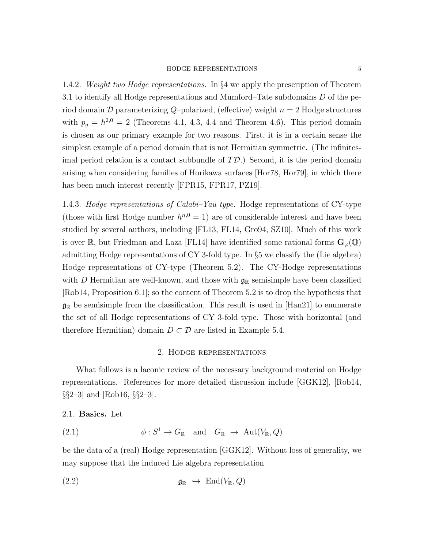1.4.2. Weight two Hodge representations. In §4 we apply the prescription of Theorem 3.1 to identify all Hodge representations and Mumford–Tate subdomains  $D$  of the period domain  $\mathcal D$  parameterizing Q-polarized, (effective) weight  $n = 2$  Hodge structures with  $p_g = h^{2,0} = 2$  (Theorems 4.1, 4.3, 4.4 and Theorem 4.6). This period domain is chosen as our primary example for two reasons. First, it is in a certain sense the simplest example of a period domain that is not Hermitian symmetric. (The infinitesimal period relation is a contact subbundle of  $T\mathcal{D}$ .) Second, it is the period domain arising when considering families of Horikawa surfaces [Hor78, Hor79], in which there has been much interest recently [FPR15, FPR17, PZ19].

1.4.3. Hodge representations of Calabi–Yau type. Hodge representations of CY-type (those with first Hodge number  $h^{n,0} = 1$ ) are of considerable interest and have been studied by several authors, including [FL13, FL14, Gro94, SZ10]. Much of this work is over R, but Friedman and Laza [FL14] have identified some rational forms  $\mathbf{G}_{\omega}(\mathbb{Q})$ admitting Hodge representations of CY 3-fold type. In §5 we classify the (Lie algebra) Hodge representations of CY-type (Theorem 5.2). The CY-Hodge representations with D Hermitian are well-known, and those with  $\mathfrak{g}_{\mathbb{R}}$  semisimple have been classified [Rob14, Proposition 6.1]; so the content of Theorem 5.2 is to drop the hypothesis that  $\mathfrak{g}_{\mathbb{R}}$  be semisimple from the classification. This result is used in [Han21] to enumerate the set of all Hodge representations of CY 3-fold type. Those with horizontal (and therefore Hermitian) domain  $D \subset \mathcal{D}$  are listed in Example 5.4.

# 2. Hodge representations

What follows is a laconic review of the necessary background material on Hodge representations. References for more detailed discussion include [GGK12], [Rob14,  $\S2-3$  and [Rob16,  $\S2-3$ ].

2.1. Basics. Let

(2.1) 
$$
\phi: S^1 \to G_{\mathbb{R}} \text{ and } G_{\mathbb{R}} \to \text{Aut}(V_{\mathbb{R}}, Q)
$$

be the data of a (real) Hodge representation [GGK12]. Without loss of generality, we may suppose that the induced Lie algebra representation

$$
\mathfrak{g}_{\mathbb{R}} \hookrightarrow \text{End}(V_{\mathbb{R}},Q)
$$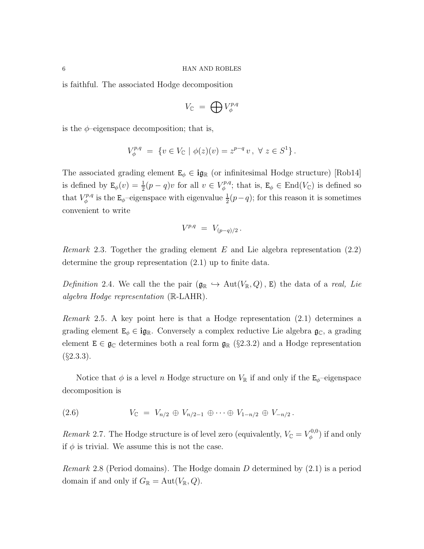is faithful. The associated Hodge decomposition

$$
V_{\mathbb{C}} = \bigoplus V_{\phi}^{p,q}
$$

is the  $\phi$ -eigenspace decomposition; that is,

$$
V_{\phi}^{p,q} = \{ v \in V_{\mathbb{C}} \mid \phi(z)(v) = z^{p-q} v, \ \forall \ z \in S^1 \}.
$$

The associated grading element  $E_{\phi} \in i\mathfrak{g}_{\mathbb{R}}$  (or infinitesimal Hodge structure) [Rob14] is defined by  $\mathbf{E}_{\phi}(v) = \frac{1}{2}(p-q)v$  for all  $v \in V_{\phi}^{p,q}$  $\mathcal{L}_{\phi}^{p,q}$ ; that is,  $\mathbf{E}_{\phi} \in \text{End}(V_{\mathbb{C}})$  is defined so that  $V^{p,q}_{\phi}$  $\frac{d^p p, q}{d^p}$  is the E<sub> $\phi$ </sub>-eigenspace with eigenvalue  $\frac{1}{2}(p-q)$ ; for this reason it is sometimes convenient to write

$$
V^{p,q} \; = \; V_{(p-q)/2} \, .
$$

*Remark* 2.3. Together the grading element  $E$  and Lie algebra representation  $(2.2)$ determine the group representation (2.1) up to finite data.

Definition 2.4. We call the the pair  $(\mathfrak{g}_{\mathbb{R}} \hookrightarrow \mathrm{Aut}(V_{\mathbb{R}}, Q)$ , E) the data of a real, Lie algebra Hodge representation (R-LAHR).

Remark 2.5. A key point here is that a Hodge representation (2.1) determines a grading element  $E_{\phi} \in \textbf{i}g_{\mathbb{R}}$ . Conversely a complex reductive Lie algebra  $\mathfrak{g}_{\mathbb{C}}$ , a grading element  $E \in \mathfrak{g}_{\mathbb{C}}$  determines both a real form  $\mathfrak{g}_{\mathbb{R}}$  (§2.3.2) and a Hodge representation  $(\S$ 2.3.3).

Notice that  $\phi$  is a level n Hodge structure on  $V_{\mathbb{R}}$  if and only if the  $\mathbf{E}_{\phi}$ -eigenspace decomposition is

$$
(2.6) \tV_{\mathbb{C}} = V_{n/2} \oplus V_{n/2-1} \oplus \cdots \oplus V_{1-n/2} \oplus V_{-n/2}.
$$

Remark 2.7. The Hodge structure is of level zero (equivalently,  $V_{\mathbb{C}} = V_{\phi}^{0,0}$ )  $\binom{v,0}{\phi}$  if and only if  $\phi$  is trivial. We assume this is not the case.

*Remark* 2.8 (Period domains). The Hodge domain  $D$  determined by  $(2.1)$  is a period domain if and only if  $G_{\mathbb{R}} = \text{Aut}(V_{\mathbb{R}}, Q)$ .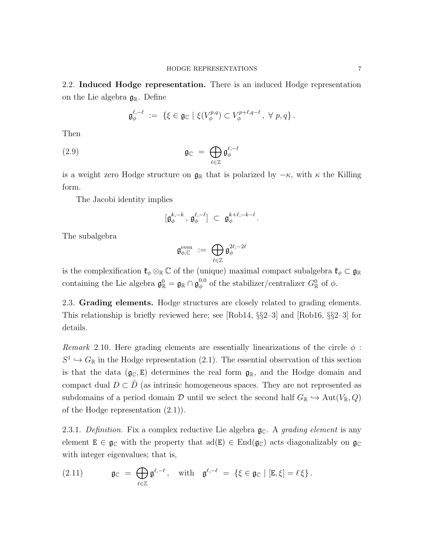2.2. **Induced Hodge representation.** There is an induced Hodge representation on the Lie algebra  $\mathfrak{g}_{\mathbb{R}}$ . Define

$$
\mathfrak{g}_{\phi}^{\ell,-\ell} \ := \ \{\xi \in \mathfrak{g}_{\mathbb{C}} \mid \xi(V_{\phi}^{p,q}) \subset V_{\phi}^{p+\ell,q-\ell}, \ \forall \ p,q \} \, .
$$

Then

$$
\mathfrak{g}_{\mathbb{C}} = \bigoplus_{\ell \in \mathbb{Z}} \mathfrak{g}_{\phi}^{\ell,-\ell}
$$

is a weight zero Hodge structure on  $\mathfrak{g}_{\mathbb{R}}$  that is polarized by  $-\kappa$ , with  $\kappa$  the Killing form.

The Jacobi identity implies

$$
[{\mathfrak g}_\phi^{k,-k}\,,\,{\mathfrak g}_\phi^{\ell,-\ell}]\;\subset\;{\mathfrak g}_\phi^{k+\ell,-k-l}\,.
$$

The subalgebra

$$
\mathfrak{g}^{\mathrm{even}}_{\phi,\mathbb{C}}\ :=\ \bigoplus_{\ell\in\mathbb{Z}}\mathfrak{g}^{2\ell,-2\ell}_{\phi}
$$

is the complexification  $\mathfrak{k}_{\phi} \otimes_{\mathbb{R}} \mathbb{C}$  of the (unique) maximal compact subalgebra  $\mathfrak{k}_{\phi} \subset \mathfrak{g}_{\mathbb{R}}$ containing the Lie algebra  $\mathfrak{g}^0_{\mathbb{R}} = \mathfrak{g}_{\mathbb{R}} \cap \mathfrak{g}_{\phi}^{0,0}$  $\phi_{\phi}^{0,0}$  of the stabilizer/centralizer  $G_{\mathbb{R}}^{0}$  of  $\phi$ .

2.3. Grading elements. Hodge structures are closely related to grading elements. This relationship is briefly reviewed here; see [Rob14, §§2–3] and [Rob16, §§2–3] for details.

Remark 2.10. Here grading elements are essentially linearizations of the circle  $\phi$ :  $S^1 \hookrightarrow G_{\mathbb{R}}$  in the Hodge representation (2.1). The essential observation of this section is that the data  $(\mathfrak{g}_{\mathbb{C}}, E)$  determines the real form  $\mathfrak{g}_{\mathbb{R}}$ , and the Hodge domain and compact dual  $D \subset \check{D}$  (as intrinsic homogeneous spaces. They are not represented as subdomains of a period domain D until we select the second half  $G_{\mathbb{R}} \hookrightarrow \text{Aut}(V_{\mathbb{R}}, Q)$ of the Hodge representation (2.1)).

2.3.1. Definition. Fix a complex reductive Lie algebra  $\mathfrak{g}_{\mathbb{C}}$ . A grading element is any element  $E \in \mathfrak{g}_{\mathbb{C}}$  with the property that  $ad(E) \in End(\mathfrak{g}_{\mathbb{C}})$  acts diagonalizably on  $\mathfrak{g}_{\mathbb{C}}$ with integer eigenvalues; that is,

(2.11) 
$$
\mathfrak{g}_{\mathbb{C}} = \bigoplus_{\ell \in \mathbb{Z}} \mathfrak{g}^{\ell,-\ell}, \quad \text{with} \quad \mathfrak{g}^{\ell,-\ell} = \{ \xi \in \mathfrak{g}_{\mathbb{C}} \mid [E,\xi] = \ell \xi \}.
$$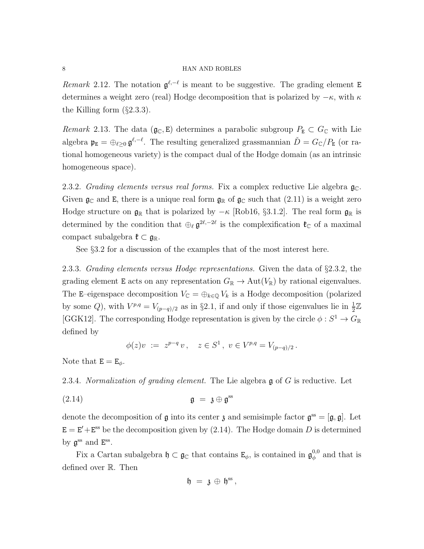Remark 2.12. The notation  $\mathfrak{g}^{\ell,-\ell}$  is meant to be suggestive. The grading element E determines a weight zero (real) Hodge decomposition that is polarized by  $-\kappa$ , with  $\kappa$ the Killing form  $(\S 2.3.3)$ .

Remark 2.13. The data ( $\mathfrak{g}_{\mathbb{C}}, \mathfrak{E}$ ) determines a parabolic subgroup  $P_{\mathbb{E}} \subset G_{\mathbb{C}}$  with Lie algebra  $\mathfrak{p}_E = \bigoplus_{\ell \geq 0} \mathfrak{g}^{\ell,-\ell}$ . The resulting generalized grassmannian  $\check{D} = G_{\mathbb{C}}/P_E$  (or rational homogeneous variety) is the compact dual of the Hodge domain (as an intrinsic homogeneous space).

2.3.2. Grading elements versus real forms. Fix a complex reductive Lie algebra  $\mathfrak{g}_{\mathbb{C}}$ . Given  $\mathfrak{g}_{\mathbb{C}}$  and E, there is a unique real form  $\mathfrak{g}_{\mathbb{R}}$  of  $\mathfrak{g}_{\mathbb{C}}$  such that  $(2.11)$  is a weight zero Hodge structure on  $\mathfrak{g}_{\mathbb{R}}$  that is polarized by  $-\kappa$  [Rob16, §3.1.2]. The real form  $\mathfrak{g}_{\mathbb{R}}$  is determined by the condition that  $\oplus_{\ell} \mathfrak{g}^{2\ell,-2\ell}$  is the complexification  $\mathfrak{k}_{\mathbb{C}}$  of a maximal compact subalgebra  $\mathfrak{k} \subset \mathfrak{g}_{\mathbb{R}}$ .

See §3.2 for a discussion of the examples that of the most interest here.

2.3.3. Grading elements versus Hodge representations. Given the data of §2.3.2, the grading element E acts on any representation  $G_{\mathbb{R}} \to \text{Aut}(V_{\mathbb{R}})$  by rational eigenvalues. The E–eigenspace decomposition  $V_{\mathbb{C}} = \bigoplus_{k \in \mathbb{Q}} V_k$  is a Hodge decomposition (polarized by some Q, with  $V^{p,q} = V_{(p-q)/2}$  as in §2.1, if and only if those eigenvalues lie in  $\frac{1}{2}\mathbb{Z}$ [GGK12]. The corresponding Hodge representation is given by the circle  $\phi : S^1 \to G_{\mathbb{R}}$ defined by

$$
\phi(z)v := z^{p-q}v, \quad z \in S^1, \ v \in V^{p,q} = V_{(p-q)/2}.
$$

Note that  $E = E_{\phi}$ .

2.3.4. Normalization of grading element. The Lie algebra  $\mathfrak g$  of  $G$  is reductive. Let

(2.14) g = z ⊕ g ss

denote the decomposition of  $\mathfrak g$  into its center  $\mathfrak z$  and semisimple factor  $\mathfrak g^{\rm ss} = [\mathfrak g, \mathfrak g]$ . Let  $E = E' + E^{ss}$  be the decomposition given by (2.14). The Hodge domain D is determined by  $\mathfrak{g}^{\text{ss}}$  and  $E^{\text{ss}}$ .

Fix a Cartan subalgebra  $\mathfrak{h} \subset \mathfrak{g}_{\mathbb{C}}$  that contains  $\mathsf{E}_{\phi}$ , is contained in  $\mathfrak{g}_{\phi}^{0,0}$  $\phi_{\phi}^{0,0}$  and that is defined over R. Then

$$
\mathfrak{h} \;=\; \mathfrak{z} \,\oplus\, \mathfrak{h}^{\rm ss}\,,
$$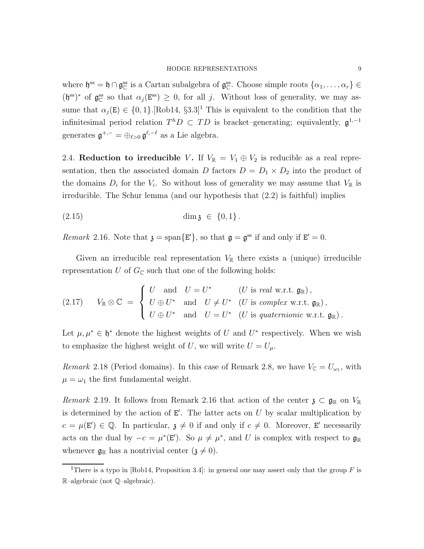where  $\mathfrak{h}^{\text{ss}} = \mathfrak{h} \cap \mathfrak{g}_{\mathbb{C}}^{\text{ss}}$  is a Cartan subalgebra of  $\mathfrak{g}_{\mathbb{C}}^{\text{ss}}$ . Choose simple roots  $\{\alpha_1, \ldots, \alpha_r\} \in$  $(\mathfrak{h}^{\text{ss}})^*$  of  $\mathfrak{g}_{\mathbb{C}}^{\text{ss}}$  so that  $\alpha_j(\mathbb{E}^{\text{ss}}) \geq 0$ , for all j. Without loss of generality, we may assume that  $\alpha_j(E) \in \{0, 1\}$ .[Rob14, §3.3]<sup>1</sup> This is equivalent to the condition that the infinitesimal period relation  $T^hD\subset TD$  is bracket–generating; equivalently,  $\mathfrak{g}^{1,-1}$ generates  $\mathfrak{g}^{+,-} = \bigoplus_{\ell > 0} \mathfrak{g}^{\ell, -\ell}$  as a Lie algebra.

2.4. Reduction to irreducible V. If  $V_{\mathbb{R}} = V_1 \oplus V_2$  is reducible as a real representation, then the associated domain D factors  $D = D_1 \times D_2$  into the product of the domains  $D_i$  for the  $V_i$ . So without loss of generality we may assume that  $V_{\mathbb{R}}$  is irreducible. The Schur lemma (and our hypothesis that (2.2) is faithful) implies

$$
(2.15) \t\dim \mathfrak{z} \in \{0,1\}.
$$

Remark 2.16. Note that  $\mathfrak{z} = \text{span}\{E'\},$  so that  $\mathfrak{g} = \mathfrak{g}^{\text{ss}}$  if and only if  $E' = 0$ .

Given an irreducible real representation  $V_{\mathbb{R}}$  there exists a (unique) irreducible representation U of  $G_{\mathbb{C}}$  such that one of the following holds:

(2.17) 
$$
V_{\mathbb{R}} \otimes \mathbb{C} = \begin{cases} U & \text{and} & U = U^* \quad (U \text{ is real w.r.t. } \mathfrak{g}_{\mathbb{R}}), \\ U \oplus U^* & \text{and} & U \neq U^* \quad (U \text{ is complex w.r.t. } \mathfrak{g}_{\mathbb{R}}), \\ U \oplus U^* & \text{and} & U = U^* \quad (U \text{ is quaternionic w.r.t. } \mathfrak{g}_{\mathbb{R}}). \end{cases}
$$

Let  $\mu, \mu^* \in \mathfrak{h}^*$  denote the highest weights of U and U<sup>\*</sup> respectively. When we wish to emphasize the highest weight of U, we will write  $U = U_{\mu}$ .

*Remark* 2.18 (Period domains). In this case of Remark 2.8, we have  $V_{\mathbb{C}} = U_{\omega_1}$ , with  $\mu = \omega_1$  the first fundamental weight.

Remark 2.19. It follows from Remark 2.16 that action of the center  $\mathfrak{z} \subset \mathfrak{g}_{\mathbb{R}}$  on  $V_{\mathbb{R}}$ is determined by the action of  $E'$ . The latter acts on U by scalar multiplication by  $c = \mu(E') \in \mathbb{Q}$ . In particular,  $\mathfrak{z} \neq 0$  if and only if  $c \neq 0$ . Moreover, E' necessarily acts on the dual by  $-c = \mu^*(\mathbf{E}')$ . So  $\mu \neq \mu^*$ , and U is complex with respect to  $\mathfrak{g}_{\mathbb{R}}$ whenever  $\mathfrak{g}_{\mathbb{R}}$  has a nontrivial center  $(\mathfrak{z} \neq 0)$ .

<sup>&</sup>lt;sup>1</sup>There is a typo in [Rob14, Proposition 3.4]: in general one may assert only that the group F is R–algebraic (not Q–algebraic).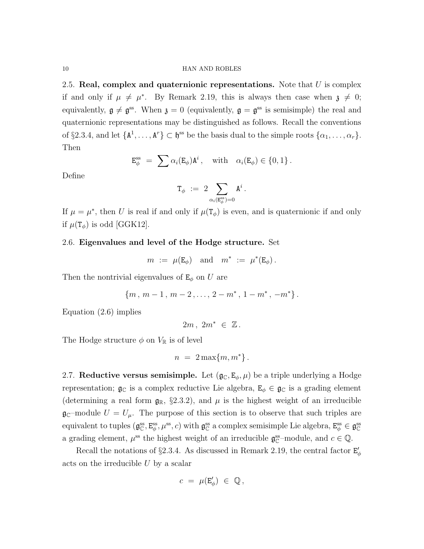2.5. Real, complex and quaternionic representations. Note that  $U$  is complex if and only if  $\mu \neq \mu^*$ . By Remark 2.19, this is always then case when  $\mathfrak{z} \neq 0$ ; equivalently,  $g \neq g^{ss}$ . When  $\mathfrak{z} = 0$  (equivalently,  $g = g^{ss}$  is semisimple) the real and quaternionic representations may be distinguished as follows. Recall the conventions of §2.3.4, and let  $\{A^1, \ldots, A^r\} \subset \mathfrak{h}^{ss}$  be the basis dual to the simple roots  $\{\alpha_1, \ldots, \alpha_r\}$ . Then

$$
\mathsf{E}_{\phi}^{\text{ss}} = \sum \alpha_i(\mathsf{E}_{\phi}) \mathsf{A}^i, \quad \text{with} \quad \alpha_i(\mathsf{E}_{\phi}) \in \{0, 1\}.
$$

Define

$$
\mathrm{T}_\phi\ :=\ 2\sum_{\alpha_i(\mathrm{E}_\phi^\mathrm{ss})=0}\mathrm{A}^i\,.
$$

If  $\mu = \mu^*$ , then U is real if and only if  $\mu(\mathcal{T}_{\phi})$  is even, and is quaternionic if and only if  $\mu(\mathsf{T}_{\phi})$  is odd [GGK12].

# 2.6. Eigenvalues and level of the Hodge structure. Set

$$
m := \mu(E_{\phi})
$$
 and  $m^* := \mu^*(E_{\phi})$ .

Then the nontrivial eigenvalues of  $E_{\phi}$  on U are

 ${m, m-1, m-2, \ldots, 2-m^*, 1-m^*, -m^*}.$ 

Equation (2.6) implies

 $2m$ ,  $2m^* \in \mathbb{Z}$ .

The Hodge structure  $\phi$  on  $V_{\mathbb{R}}$  is of level

$$
n = 2\max\{m, m^*\}.
$$

2.7. Reductive versus semisimple. Let  $(\mathfrak{g}_{\mathbb{C}}, E_{\phi}, \mu)$  be a triple underlying a Hodge representation;  $\mathfrak{g}_{\mathbb{C}}$  is a complex reductive Lie algebra,  $E_{\phi} \in \mathfrak{g}_{\mathbb{C}}$  is a grading element (determining a real form  $\mathfrak{g}_{\mathbb{R}}$ , §2.3.2), and  $\mu$  is the highest weight of an irreducible  $\mathfrak{g}_{\mathbb{C}}$ -module  $U = U_{\mu}$ . The purpose of this section is to observe that such triples are equivalent to tuples  $(g_{\mathbb{C}}^{ss}, E_{\phi}^{ss}, \mu^{ss}, c)$  with  $g_{\mathbb{C}}^{ss}$  a complex semisimple Lie algebra,  $E_{\phi}^{ss} \in g_{\mathbb{C}}^{ss}$ a grading element,  $\mu^{\text{ss}}$  the highest weight of an irreducible  $\mathfrak{g}_{\mathbb{C}}^{\text{ss}}$ -module, and  $c \in \mathbb{Q}$ .

Recall the notations of §2.3.4. As discussed in Remark 2.19, the central factor  $\mathbf{E}'_{\phi}$ acts on the irreducible U by a scalar

$$
c = \mu(\mathbf{E}'_{\phi}) \in \mathbb{Q},
$$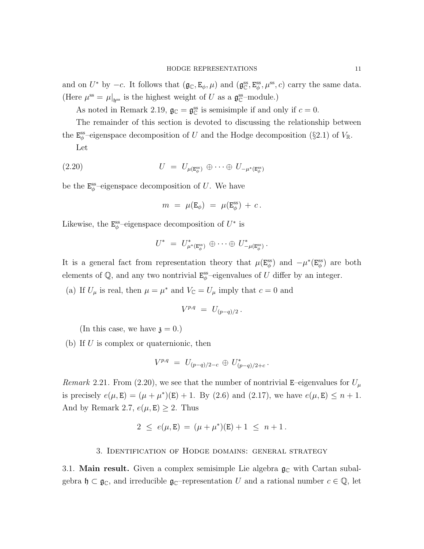and on  $U^*$  by  $-c$ . It follows that  $(\mathfrak{g}_{\mathbb{C}}, \mathsf{E}_{\phi}, \mu)$  and  $(\mathfrak{g}_{\mathbb{C}}^{ss}, \mathsf{E}_{\phi}^{ss}, \mu^{ss}, c)$  carry the same data. (Here  $\mu^{\text{ss}} = \mu|_{\mathfrak{h}^{\text{ss}}}$  is the highest weight of U as a  $\mathfrak{g}_{\mathbb{C}}^{\text{ss}}$ -module.)

As noted in Remark 2.19,  $\mathfrak{g}_{\mathbb{C}} = \mathfrak{g}_{\mathbb{C}}^{ss}$  is semisimple if and only if  $c = 0$ .

The remainder of this section is devoted to discussing the relationship between the  $\mathbf{E}_{\phi}^{\text{ss}}$ -eigenspace decomposition of U and the Hodge decomposition (§2.1) of  $V_{\mathbb{R}}$ .

Let

(2.20) 
$$
U = U_{\mu(\mathbf{E}_{\phi}^{\text{ss}})} \oplus \cdots \oplus U_{-\mu^{*}(\mathbf{E}_{\phi}^{\text{ss}})}
$$

be the  $\mathrm{E}^{\mathrm{ss}}_{\phi}$ -eigenspace decomposition of U. We have

$$
m\,\,=\,\,\mu({\rm E}_\phi)\,\,=\,\,\mu({\rm E}_\phi^{\rm ss})\,+\,c\,.
$$

Likewise, the  $\mathbf{E}_{\phi}^{\text{ss}}$ -eigenspace decomposition of  $U^*$  is

$$
U^* = U^*_{\mu^*(\mathbf{E}^{\text{ss}}_\phi)} \oplus \cdots \oplus U^*_{-\mu(\mathbf{E}^{\text{ss}}_\phi)}.
$$

It is a general fact from representation theory that  $\mu(\mathbf{E}_{\phi}^{\text{ss}})$  and  $-\mu^*(\mathbf{E}_{\phi}^{\text{ss}})$  are both elements of  $\mathbb{Q}$ , and any two nontrivial  $\mathbf{E}_{\phi}^{\text{ss}}$ -eigenvalues of U differ by an integer.

(a) If  $U_{\mu}$  is real, then  $\mu = \mu^*$  and  $V_{\mathbb{C}} = U_{\mu}$  imply that  $c = 0$  and

$$
V^{p,q} \; = \; U_{(p-q)/2} \, .
$$

(In this case, we have  $\mathfrak{z} = 0.$ )

(b) If  $U$  is complex or quaternionic, then

$$
V^{p,q} = U_{(p-q)/2-c} \oplus U_{(p-q)/2+c}^*.
$$

Remark 2.21. From (2.20), we see that the number of nontrivial E–eigenvalues for  $U_{\mu}$ is precisely  $e(\mu, E) = (\mu + \mu^*)(E) + 1$ . By (2.6) and (2.17), we have  $e(\mu, E) \le n + 1$ . And by Remark 2.7,  $e(\mu, E) \geq 2$ . Thus

$$
2 \le e(\mu, E) = (\mu + \mu^*)(E) + 1 \le n + 1.
$$

### 3. Identification of Hodge domains: general strategy

3.1. Main result. Given a complex semisimple Lie algebra  $\mathfrak{g}_{\mathbb{C}}$  with Cartan subalgebra  $\mathfrak{h} \subset \mathfrak{g}_{\mathbb{C}}$ , and irreducible  $\mathfrak{g}_{\mathbb{C}}$ -representation U and a rational number  $c \in \mathbb{Q}$ , let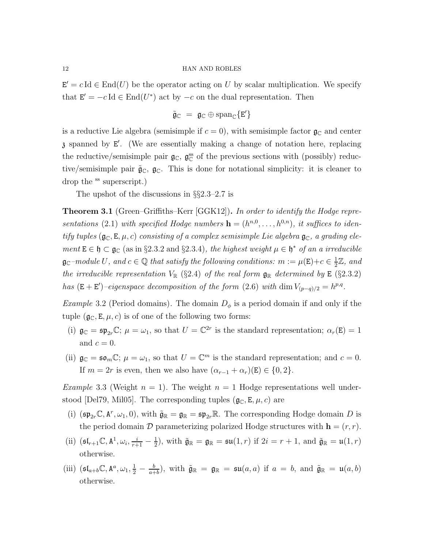$\mathbf{E}' = c \operatorname{Id} \in \text{End}(U)$  be the operator acting on U by scalar multiplication. We specify that  $\mathbf{E}' = -c \operatorname{Id} \in \text{End}(U^*)$  act by  $-c$  on the dual representation. Then

 $\tilde{\mathfrak{g}}_{\mathbb{C}} = \mathfrak{g}_{\mathbb{C}} \oplus \text{span}_{\mathbb{C}} \{E'\}$ 

is a reductive Lie algebra (semisimple if  $c = 0$ ), with semisimple factor  $\mathfrak{g}_{\mathbb{C}}$  and center z spanned by E ′ . (We are essentially making a change of notation here, replacing the reductive/semisimple pair  $\mathfrak{g}_\mathbb{C}$ ,  $\mathfrak{g}_\mathbb{C}^{\text{ss}}$  of the previous sections with (possibly) reductive/semisimple pair  $\tilde{\mathfrak{g}}_{\mathbb{C}}, \mathfrak{g}_{\mathbb{C}}$ . This is done for notational simplicity: it is cleaner to drop the <sup>ss</sup> superscript.)

The upshot of the discussions in §§2.3–2.7 is

**Theorem 3.1** (Green–Griffiths–Kerr [GGK12]). In order to identify the Hodge representations (2.1) with specified Hodge numbers  $\mathbf{h} = (h^{n,0}, \ldots, h^{0,n})$ , it suffices to identify tuples  $(\mathfrak{g}_{\mathbb{C}}, \mathbb{E}, \mu, c)$  consisting of a complex semisimple Lie algebra  $\mathfrak{g}_{\mathbb{C}}$ , a grading element  $E \in \mathfrak{h} \subset \mathfrak{g}_{\mathbb{C}}$  (as in §2.3.2 and §2.3.4), the highest weight  $\mu \in \mathfrak{h}^*$  of an a irreducible  $\mathfrak{g}_{\mathbb{C}}$ -module U, and  $c \in \mathbb{Q}$  that satisfy the following conditions:  $m := \mu(\mathsf{E}) + c \in \frac{1}{2}$  $\frac{1}{2}\mathbb{Z}$ , and the irreducible representation  $V_{\mathbb{R}}$  (§2.4) of the real form  $\mathfrak{g}_{\mathbb{R}}$  determined by E (§2.3.2) has  $(E + E')$ -eigenspace decomposition of the form (2.6) with dim  $V_{(p-q)/2} = h^{p,q}$ .

*Example* 3.2 (Period domains). The domain  $D_{\phi}$  is a period domain if and only if the tuple  $(g_C, E, \mu, c)$  is of one of the following two forms:

- (i)  $\mathfrak{g}_{\mathbb{C}} = \mathfrak{sp}_{2r} \mathbb{C}$ ;  $\mu = \omega_1$ , so that  $U = \mathbb{C}^{2r}$  is the standard representation;  $\alpha_r(\mathbf{E}) = 1$ and  $c = 0$ .
- (ii)  $\mathfrak{g}_{\mathbb{C}} = \mathfrak{so}_m \mathbb{C}$ ;  $\mu = \omega_1$ , so that  $U = \mathbb{C}^m$  is the standard representation; and  $c = 0$ . If  $m = 2r$  is even, then we also have  $(\alpha_{r-1} + \alpha_r)(\mathbf{E}) \in \{0, 2\}.$

*Example* 3.3 (Weight  $n = 1$ ). The weight  $n = 1$  Hodge representations well understood [Del79, Mil05]. The corresponding tuples  $(\mathfrak{g}_{\mathbb{C}}, \mathsf{E}, \mu, c)$  are

- (i)  $(\mathfrak{sp}_{2r}\mathbb{C}, \mathbb{A}^r, \omega_1, 0)$ , with  $\tilde{\mathfrak{g}}_{\mathbb{R}} = \mathfrak{g}_{\mathbb{R}} = \mathfrak{sp}_{2r}\mathbb{R}$ . The corresponding Hodge domain D is the period domain  $\mathcal D$  parameterizing polarized Hodge structures with  $\mathbf h = (r, r)$ .
- (ii)  $(\mathfrak{sl}_{r+1}\mathbb{C}, \mathbb{A}^1, \omega_i, \frac{i}{r+1} \frac{1}{2})$  $\frac{1}{2}$ , with  $\tilde{\mathfrak{g}}_{\mathbb{R}} = \mathfrak{g}_{\mathbb{R}} = \mathfrak{su}(1,r)$  if  $2i = r + 1$ , and  $\tilde{\mathfrak{g}}_{\mathbb{R}} = \mathfrak{u}(1,r)$ otherwise.
- (iii)  $(\mathfrak{sl}_{a+b}\mathbb{C}, \mathbb{A}^a, \omega_1, \frac{1}{2} \frac{b}{a+b})$  $\frac{b}{a+b}$ , with  $\tilde{\mathfrak{g}}_{\mathbb{R}} = \mathfrak{g}_{\mathbb{R}} = \mathfrak{su}(a,a)$  if  $a = b$ , and  $\tilde{\mathfrak{g}}_{\mathbb{R}} = \mathfrak{u}(a,b)$ otherwise.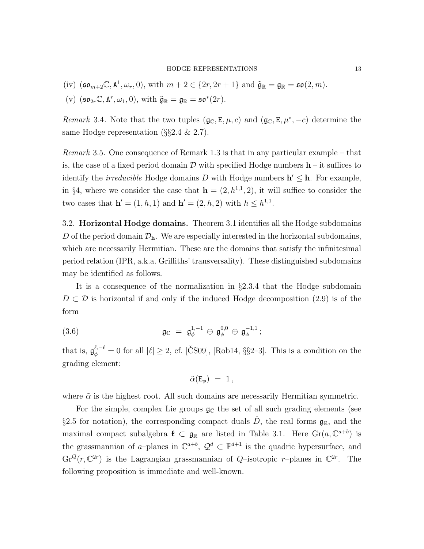(iv) 
$$
(\mathfrak{so}_{m+2}\mathbb{C}, \mathbf{A}^1, \omega_r, 0)
$$
, with  $m+2 \in \{2r, 2r+1\}$  and  $\tilde{\mathfrak{g}}_{\mathbb{R}} = \mathfrak{g}_{\mathbb{R}} = \mathfrak{so}(2, m)$ .

(v)  $(\mathfrak{so}_{2r}\mathbb{C}, \mathbf{A}^r, \omega_1, 0), \text{ with } \tilde{\mathfrak{g}}_{\mathbb{R}} = \mathfrak{g}_{\mathbb{R}} = \mathfrak{so}^*(2r).$ 

Remark 3.4. Note that the two tuples  $(\mathfrak{g}_{\mathbb{C}}, \mathsf{E}, \mu, c)$  and  $(\mathfrak{g}_{\mathbb{C}}, \mathsf{E}, \mu^*, -c)$  determine the same Hodge representation ( $\S$ §2.4 & 2.7).

Remark 3.5. One consequence of Remark 1.3 is that in any particular example – that is, the case of a fixed period domain D with specified Hodge numbers  $h$  – it suffices to identify the *irreducible* Hodge domains D with Hodge numbers  $h' \leq h$ . For example, in §4, where we consider the case that  $h = (2, h^{1,1}, 2)$ , it will suffice to consider the two cases that  $h' = (1, h, 1)$  and  $h' = (2, h, 2)$  with  $h \leq h^{1,1}$ .

3.2. Horizontal Hodge domains. Theorem 3.1 identifies all the Hodge subdomains D of the period domain  $\mathcal{D}_h$ . We are especially interested in the horizontal subdomains, which are necessarily Hermitian. These are the domains that satisfy the infinitesimal period relation (IPR, a.k.a. Griffiths' transversality). These distinguished subdomains may be identified as follows.

It is a consequence of the normalization in §2.3.4 that the Hodge subdomain  $D \subset \mathcal{D}$  is horizontal if and only if the induced Hodge decomposition (2.9) is of the form

(3.6) 
$$
\mathfrak{g}_{\mathbb{C}} = \mathfrak{g}_{\phi}^{1,-1} \oplus \mathfrak{g}_{\phi}^{0,0} \oplus \mathfrak{g}_{\phi}^{-1,1};
$$

that is,  $\mathfrak{g}_{\phi}^{\ell,-\ell} = 0$  for all  $|\ell| \geq 2$ , cf. [CS09], [Rob14, §§2-3]. This is a condition on the grading element:

$$
\tilde{\alpha}(\mathbf{E}_{\phi}) = 1,
$$

where  $\tilde{\alpha}$  is the highest root. All such domains are necessarily Hermitian symmetric.

For the simple, complex Lie groups  $g_{\mathbb{C}}$  the set of all such grading elements (see §2.5 for notation), the corresponding compact duals  $D$ , the real forms  $\mathfrak{g}_{\mathbb{R}}$ , and the maximal compact subalgebra  $\mathfrak{k} \subset \mathfrak{g}_{\mathbb{R}}$  are listed in Table 3.1. Here  $\text{Gr}(a, \mathbb{C}^{a+b})$  is the grassmannian of a–planes in  $\mathbb{C}^{a+b}$ ,  $\mathcal{Q}^d \subset \mathbb{P}^{d+1}$  is the quadric hypersurface, and  $\text{Gr}^Q(r, \mathbb{C}^{2r})$  is the Lagrangian grassmannian of Q-isotropic r-planes in  $\mathbb{C}^{2r}$ . The following proposition is immediate and well-known.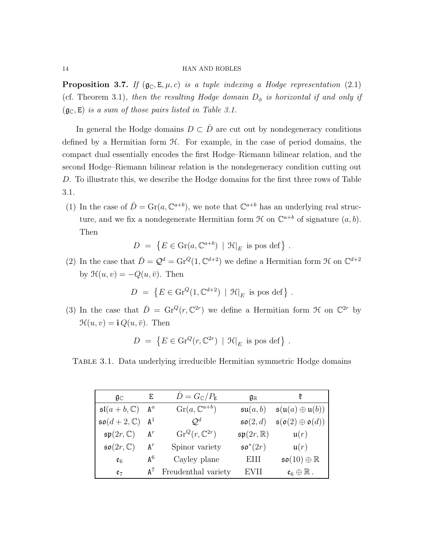**Proposition 3.7.** If  $(g_c, E, \mu, c)$  is a tuple indexing a Hodge representation (2.1) (cf. Theorem 3.1), then the resulting Hodge domain  $D_{\phi}$  is horizontal if and only if  $(g_{\mathbb{C}}, E)$  is a sum of those pairs listed in Table 3.1.

In general the Hodge domains  $D \subset \check{D}$  are cut out by nondegeneracy conditions defined by a Hermitian form  $H$ . For example, in the case of period domains, the compact dual essentially encodes the first Hodge–Riemann bilinear relation, and the second Hodge–Riemann bilinear relation is the nondegeneracy condition cutting out D. To illustrate this, we describe the Hodge domains for the first three rows of Table 3.1.

(1) In the case of  $\check{D} = \text{Gr}(a, \mathbb{C}^{a+b})$ , we note that  $\mathbb{C}^{a+b}$  has an underlying real structure, and we fix a nondegenerate Hermitian form  $\mathcal H$  on  $\mathbb C^{a+b}$  of signature  $(a, b)$ . Then

$$
D = \{ E \in \text{Gr}(a, \mathbb{C}^{a+b}) \mid \mathcal{H}|_E \text{ is pos def} \} .
$$

(2) In the case that  $\check{D} = \mathcal{Q}^d = \text{Gr}^Q(1, \mathbb{C}^{d+2})$  we define a Hermitian form  $\mathcal H$  on  $\mathbb{C}^{d+2}$ by  $\mathcal{H}(u, v) = -Q(u, \bar{v})$ . Then

$$
D = \{ E \in \text{Gr}^Q(1, \mathbb{C}^{d+2}) \mid \mathcal{H}|_E \text{ is pos def} \} .
$$

(3) In the case that  $\check{D} = \mathrm{Gr}^Q(r, \mathbb{C}^{2r})$  we define a Hermitian form  $\mathcal H$  on  $\mathbb{C}^{2r}$  by  $\mathcal{H}(u, v) = \mathbf{i} Q(u, \bar{v}).$  Then

$$
D = \{ E \in \text{Gr}^Q(r, \mathbb{C}^{2r}) \mid \mathcal{H}|_E \text{ is pos def} \} .
$$

Table 3.1. Data underlying irreducible Hermitian symmetric Hodge domains

| $\mathfrak{g}_\mathbb{C}$       | E            | $\dot{D}=G_{\mathbb{C}}/P_{\mathbb{E}}$ | $\mathfrak{g}_{\mathbb{R}}$    |                                                        |
|---------------------------------|--------------|-----------------------------------------|--------------------------------|--------------------------------------------------------|
| $\mathfrak{sl}(a+b,\mathbb{C})$ | $A^a$        | $\text{Gr}(a, \mathbb{C}^{a+b})$        | $\mathfrak{su}(a,b)$           | $\mathfrak{s}(\mathfrak{u}(a) \oplus \mathfrak{u}(b))$ |
| $\mathfrak{so}(d+2,\mathbb{C})$ | $A^1$        | $\mathcal{O}^d$                         | $\mathfrak{so}(2,d)$           | $\mathfrak{s}(\mathfrak{o}(2)\oplus \mathfrak{o}(d))$  |
| $\mathfrak{sp}(2r,\mathbb{C})$  | $A^r$        | $\text{Gr}^Q(r, \mathbb{C}^{2r})$       | $\mathfrak{sp}(2r,\mathbb{R})$ | $\mathfrak{u}(r)$                                      |
| $\mathfrak{so}(2r,\mathbb{C})$  | $A^r$        | Spinor variety                          | $\mathfrak{so}^*(2r)$          | $\mathfrak{u}(r)$                                      |
| $\mathfrak{e}_6$                | $A^6$        | Cayley plane                            | EHI                            | $\mathfrak{so}(10)\oplus\mathbb{R}$                    |
| $e_7$                           | $A^{\prime}$ | Freudenthal variety                     | EVH                            | $\mathfrak{e}_6\oplus\mathbb{R}$ .                     |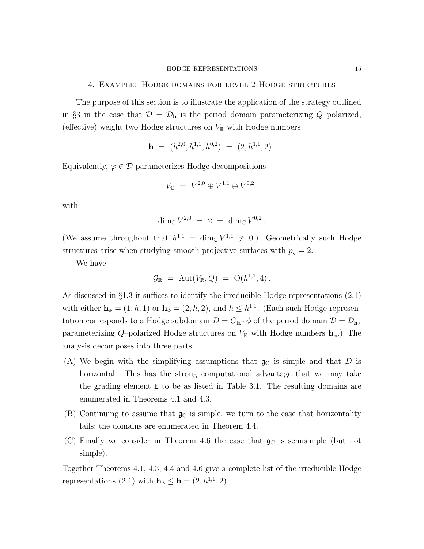## 4. Example: Hodge domains for level 2 Hodge structures

The purpose of this section is to illustrate the application of the strategy outlined in §3 in the case that  $\mathcal{D} = \mathcal{D}_{h}$  is the period domain parameterizing Q-polarized, (effective) weight two Hodge structures on  $V_{\mathbb{R}}$  with Hodge numbers

$$
\mathbf{h} = (h^{2,0}, h^{1,1}, h^{0,2}) = (2, h^{1,1}, 2).
$$

Equivalently,  $\varphi \in \mathcal{D}$  parameterizes Hodge decompositions

$$
V_{\mathbb{C}} = V^{2,0} \oplus V^{1,1} \oplus V^{0,2},
$$

with

$$
\dim_{\mathbb{C}} V^{2,0} \;=\; 2 \;=\; \dim_{\mathbb{C}} V^{0,2}\,.
$$

(We assume throughout that  $h^{1,1} = \dim_{\mathbb{C}} V^{1,1} \neq 0$ .) Geometrically such Hodge structures arise when studying smooth projective surfaces with  $p_g = 2$ .

We have

$$
\mathcal{G}_{\mathbb{R}} \,\, = \,\, \text{Aut}(V_{\mathbb{R}},Q) \,\, = \,\, \text{O}(h^{1,1},4) \, .
$$

As discussed in §1.3 it suffices to identify the irreducible Hodge representations (2.1) with either  $\mathbf{h}_{\phi} = (1, h, 1)$  or  $\mathbf{h}_{\phi} = (2, h, 2)$ , and  $h \leq h^{1,1}$ . (Each such Hodge representation corresponds to a Hodge subdomain  $D = G_{\mathbb{R}} \cdot \phi$  of the period domain  $\mathcal{D} = \mathcal{D}_{h_{\phi}}$ parameterizing Q–polarized Hodge structures on  $V_{\mathbb{R}}$  with Hodge numbers  $\mathbf{h}_{\phi}$ .) The analysis decomposes into three parts:

- (A) We begin with the simplifying assumptions that  $\mathfrak{g}_{\mathbb{C}}$  is simple and that D is horizontal. This has the strong computational advantage that we may take the grading element E to be as listed in Table 3.1. The resulting domains are enumerated in Theorems 4.1 and 4.3.
- (B) Continuing to assume that  $\mathfrak{g}_{\mathbb{C}}$  is simple, we turn to the case that horizontality fails; the domains are enumerated in Theorem 4.4.
- (C) Finally we consider in Theorem 4.6 the case that  $g_{\mathbb{C}}$  is semisimple (but not simple).

Together Theorems 4.1, 4.3, 4.4 and 4.6 give a complete list of the irreducible Hodge representations (2.1) with  $\mathbf{h}_{\phi} \leq \mathbf{h} = (2, h^{1,1}, 2)$ .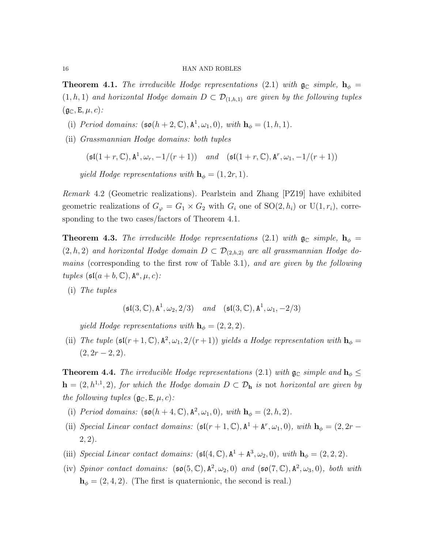**Theorem 4.1.** The irreducible Hodge representations (2.1) with  $\mathfrak{g}_{\mathbb{C}}$  simple,  $\mathbf{h}_{\phi}$  =  $(1, h, 1)$  and horizontal Hodge domain  $D \subset \mathcal{D}_{(1,h,1)}$  are given by the following tuples  $(\mathfrak{g}_{\mathbb{C}}, \mathsf{E}, \mu, c)$ :

- (i) Period domains:  $(\mathfrak{so}(h+2,\mathbb{C}), \mathbb{A}^1, \omega_1, 0)$ , with  $\mathbf{h}_{\phi} = (1, h, 1)$ .
- (ii) Grassmannian Hodge domains: both tuples

 $(\mathfrak{sl}(1+r,\mathbb{C}),\mathbf{A}^1,\omega_r,-1/(r+1))$  and  $(\mathfrak{sl}(1+r,\mathbb{C}),\mathbf{A}^r,\omega_1,-1/(r+1))$ 

yield Hodge representations with  $\mathbf{h}_{\phi} = (1, 2r, 1)$ .

Remark 4.2 (Geometric realizations). Pearlstein and Zhang [PZ19] have exhibited geometric realizations of  $G_{\varphi} = G_1 \times G_2$  with  $G_i$  one of  $SO(2, h_i)$  or  $U(1, r_i)$ , corresponding to the two cases/factors of Theorem 4.1.

**Theorem 4.3.** The irreducible Hodge representations (2.1) with  $\mathfrak{g}_{\mathbb{C}}$  simple,  $\mathbf{h}_{\phi}$  =  $(2, h, 2)$  and horizontal Hodge domain  $D \subset \mathcal{D}_{(2,h,2)}$  are all grassmannian Hodge domains (corresponding to the first row of Table 3.1), and are given by the following tuples  $(\mathfrak{sl}(a + b, \mathbb{C}), \mathbb{A}^a, \mu, c)$ :

(i) The tuples

$$
(\mathfrak{sl}(3,\mathbb{C}),\mathrm{A}^1,\omega_2,2/3) \quad \text{and} \quad (\mathfrak{sl}(3,\mathbb{C}),\mathrm{A}^1,\omega_1,-2/3)
$$

yield Hodge representations with  $\mathbf{h}_{\phi} = (2, 2, 2)$ .

(ii) The tuple  $(\mathfrak{sl}(r+1,\mathbb{C}),\mathbf{A}^2,\omega_1,2/(r+1))$  yields a Hodge representation with  $\mathbf{h}_{\phi} =$  $(2, 2r - 2, 2).$ 

**Theorem 4.4.** The irreducible Hodge representations (2.1) with  $\mathfrak{g}_{\mathbb{C}}$  simple and  $\mathbf{h}_{\phi} \leq$  $\mathbf{h} = (2, h^{1,1}, 2)$ , for which the Hodge domain  $D \subset \mathcal{D}_{\mathbf{h}}$  is not horizontal are given by the following tuples  $(\mathfrak{g}_{\mathbb{C}}, \mathsf{E}, \mu, c)$ :

- (i) Period domains:  $(\mathfrak{so}(h+4,\mathbb{C}), \mathbb{A}^2, \omega_1, 0)$ , with  $\mathbf{h}_{\phi} = (2, h, 2)$ .
- (ii) Special Linear contact domains:  $(\mathfrak{sl}(r+1,\mathbb{C}), \mathbf{A}^1 + \mathbf{A}^r, \omega_1, 0)$ , with  $\mathbf{h}_{\phi} = (2, 2r (2, 2)$ .
- (iii) Special Linear contact domains:  $(\mathfrak{sl}(4,\mathbb{C}), \mathbb{A}^1 + \mathbb{A}^3, \omega_2, 0)$ , with  $\mathbf{h}_{\phi} = (2,2,2)$ .
- (iv) Spinor contact domains:  $(\mathfrak{so}(5,\mathbb{C}), A^2, \omega_2, 0)$  and  $(\mathfrak{so}(7,\mathbb{C}), A^2, \omega_3, 0)$ , both with  $h_{\phi} = (2, 4, 2)$ . (The first is quaternionic, the second is real.)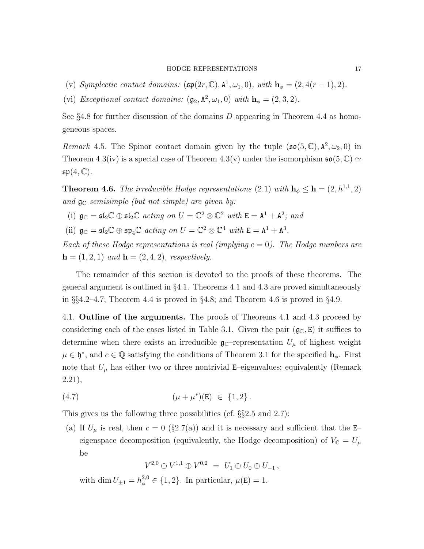- (v) Symplectic contact domains:  $(\mathfrak{sp}(2r, \mathbb{C}), \mathbb{A}^1, \omega_1, 0)$ , with  $\mathbf{h}_{\phi} = (2, 4(r 1), 2)$ .
- (vi) Exceptional contact domains:  $(\mathfrak{g}_2, \mathbb{A}^2, \omega_1, 0)$  with  $\mathbf{h}_{\phi} = (2, 3, 2)$ .

See  $\S 4.8$  for further discussion of the domains D appearing in Theorem 4.4 as homogeneous spaces.

Remark 4.5. The Spinor contact domain given by the tuple  $(\mathfrak{so}(5,\mathbb{C}), \mathbb{A}^2, \omega_2, 0)$  in Theorem 4.3(iv) is a special case of Theorem 4.3(v) under the isomorphism  $\mathfrak{so}(5,\mathbb{C}) \simeq$  $\mathfrak{sp}(4,\mathbb{C}).$ 

**Theorem 4.6.** The irreducible Hodge representations (2.1) with  $h_{\phi} \leq h = (2, h^{1,1}, 2)$ and  $\mathfrak{g}_{\mathbb{C}}$  semisimple (but not simple) are given by:

- (i)  $\mathfrak{g}_{\mathbb{C}} = \mathfrak{sl}_2 \mathbb{C} \oplus \mathfrak{sl}_2 \mathbb{C}$  acting on  $U = \mathbb{C}^2 \otimes \mathbb{C}^2$  with  $E = A^1 + A^2$ ; and
- (ii)  $\mathfrak{g}_{\mathbb{C}} = \mathfrak{sl}_2\mathbb{C} \oplus \mathfrak{sp}_4\mathbb{C}$  acting on  $U = \mathbb{C}^2 \otimes \mathbb{C}^4$  with  $E = A^1 + A^3$ .

Each of these Hodge representations is real (implying  $c = 0$ ). The Hodge numbers are  $h = (1, 2, 1)$  and  $h = (2, 4, 2)$ , respectively.

The remainder of this section is devoted to the proofs of these theorems. The general argument is outlined in  $\S 4.1$ . Theorems 4.1 and 4.3 are proved simultaneously in  $\S 4.2-4.7$ ; Theorem 4.4 is proved in  $\S 4.8$ ; and Theorem 4.6 is proved in  $\S 4.9$ .

4.1. Outline of the arguments. The proofs of Theorems 4.1 and 4.3 proceed by considering each of the cases listed in Table 3.1. Given the pair  $(\mathfrak{g}_{\mathbb{C}}, E)$  it suffices to determine when there exists an irreducible  $\mathfrak{g}_{\mathbb{C}}$ -representation  $U_{\mu}$  of highest weight  $\mu \in \mathfrak{h}^*$ , and  $c \in \mathbb{Q}$  satisfying the conditions of Theorem 3.1 for the specified  $\mathbf{h}_{\phi}$ . First note that  $U_{\mu}$  has either two or three nontrivial E–eigenvalues; equivalently (Remark 2.21),

(4.7) 
$$
(\mu + \mu^*)(E) \in \{1, 2\}.
$$

This gives us the following three possibilities (cf.  $\S$  $2.5$  and  $2.7$ ):

(a) If  $U_{\mu}$  is real, then  $c = 0$  (§2.7(a)) and it is necessary and sufficient that the E– eigenspace decomposition (equivalently, the Hodge decomposition) of  $V_\mathbb{C}$  =  $U_\mu$ be

 $V^{2,0}\oplus V^{1,1}\oplus V^{0,2} \;=\; U_1\oplus U_0\oplus U_{-1}\,,$ 

with dim  $U_{\pm 1} = h_{\phi}^{2,0} \in \{1, 2\}$ . In particular,  $\mu(E) = 1$ .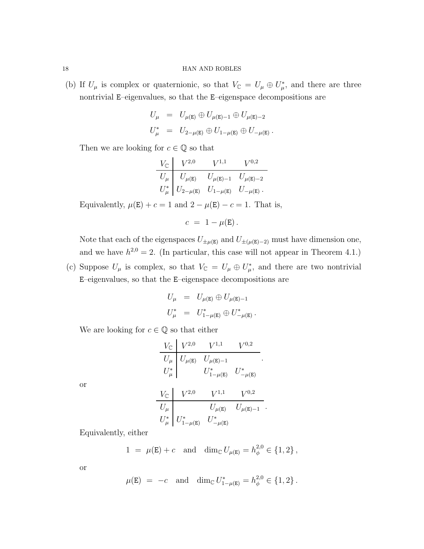(b) If  $U_{\mu}$  is complex or quaternionic, so that  $V_{\mathbb{C}} = U_{\mu} \oplus U_{\mu}^*$ , and there are three nontrivial E–eigenvalues, so that the E–eigenspace decompositions are

$$
U_{\mu} = U_{\mu(E)} \oplus U_{\mu(E)-1} \oplus U_{\mu(E)-2}
$$
  

$$
U_{\mu}^{*} = U_{2-\mu(E)} \oplus U_{1-\mu(E)} \oplus U_{-\mu(E)}.
$$

Then we are looking for  $c \in \mathbb{Q}$  so that

$$
\begin{array}{c|cc} V_{\mathbb C} & V^{2,0} & V^{1,1} & V^{0,2} \\ \hline U_\mu & U_{\mu(\mathbb{E})} & U_{\mu(\mathbb{E})-1} & U_{\mu(\mathbb{E})-2} \\ U_\mu^* & U_{2-\mu(\mathbb{E})} & U_{1-\mu(\mathbb{E})} & U_{-\mu(\mathbb{E})} \end{array}.
$$

Equivalently,  $\mu(\mathbf{E}) + c = 1$  and  $2 - \mu(\mathbf{E}) - c = 1$ . That is,

$$
c = 1 - \mu(\mathbf{E}).
$$

Note that each of the eigenspaces  $U_{\pm\mu(E)}$  and  $U_{\pm(\mu(E)-2)}$  must have dimension one, and we have  $h^{2,0} = 2$ . (In particular, this case will not appear in Theorem 4.1.)

(c) Suppose  $U_{\mu}$  is complex, so that  $V_{\mathbb{C}} = U_{\mu} \oplus U_{\mu}^*$ , and there are two nontrivial E–eigenvalues, so that the E–eigenspace decompositions are

$$
U_{\mu} = U_{\mu(E)} \oplus U_{\mu(E)-1}
$$
  

$$
U_{\mu}^{*} = U_{1-\mu(E)}^{*} \oplus U_{-\mu(E)}^{*}.
$$

We are looking for  $c \in \mathbb{Q}$  so that either

$$
\begin{array}{c|cc} V_{\mathbb C} & V^{2,0} & V^{1,1} & V^{0,2} \\ \hline U_{\mu} & U_{\mu(\mathbf{E})} & U_{\mu(\mathbf{E})-1} & \\ U_{\mu}^* & U_{1-\mu(\mathbf{E})}^* & U_{-\mu(\mathbf{E})}^* \end{array}.
$$

or

$$
\begin{array}{c|cc} V_{\mathbb C} & V^{2,0} & V^{1,1} & V^{0,2} \\ \hline U_\mu & & U_{\mu(\mathbf E)} & U_{\mu(\mathbf E)-1} \\ U_\mu^* & U_{1-\mu(\mathbf E)}^* & U_{-\mu(\mathbf E)}^* \end{array}.
$$

Equivalently, either

$$
1 = \mu(E) + c
$$
 and  $\dim_{\mathbb{C}} U_{\mu(E)} = h_{\phi}^{2,0} \in \{1, 2\},\$ 

or

$$
\mu(\mathbf{E}) = -c \text{ and } \dim_{\mathbb{C}} U_{1-\mu(\mathbf{E})}^* = h_{\phi}^{2,0} \in \{1,2\}.
$$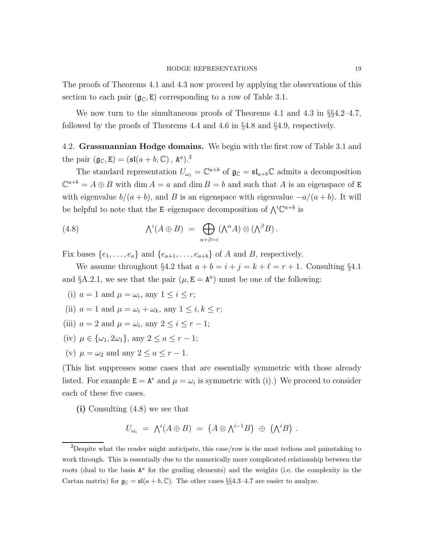The proofs of Theorems 4.1 and 4.3 now proceed by applying the observations of this section to each pair  $(g_{\mathbb{C}}, E)$  corresponding to a row of Table 3.1.

We now turn to the simultaneous proofs of Theorems 4.1 and 4.3 in  $\S$ §4.2–4.7, followed by the proofs of Theorems 4.4 and 4.6 in §4.8 and §4.9, respectively.

4.2. Grassmannian Hodge domains. We begin with the first row of Table 3.1 and the pair  $(\mathfrak{g}_{\mathbb{C}}, \mathbf{E}) = (\mathfrak{sl}(a+b, \mathbb{C}), \mathbf{A}^a).^2$ 

The standard representation  $U_{\omega_1} = \mathbb{C}^{a+b}$  of  $\mathfrak{g}_{\mathbb{C}} = \mathfrak{sl}_{a+b} \mathbb{C}$  admits a decomposition  $\mathbb{C}^{a+b} = A \oplus B$  with dim  $A = a$  and dim  $B = b$  and such that A is an eigenspace of E with eigenvalue  $b/(a + b)$ , and B is an eigenspace with eigenvalue  $-a/(a + b)$ . It will be helpful to note that the E-eigenspace decomposition of  $\bigwedge^i \mathbb{C}^{a+b}$  is

(4.8) 
$$
\bigwedge^i (A \oplus B) = \bigoplus_{\alpha + \beta = i} (\bigwedge^{\alpha} A) \otimes (\bigwedge^{\beta} B).
$$

Fix bases  $\{e_1, \ldots, e_a\}$  and  $\{e_{a+1}, \ldots, e_{a+b}\}$  of A and B, respectively.

We assume throughout §4.2 that  $a + b = i + j = k + \ell = r + 1$ . Consulting §4.1 and §A.2.1, we see that the pair  $(\mu, \mathbf{E} = \mathbf{A}^a)$  must be one of the following:

- (i)  $a = 1$  and  $\mu = \omega_i$ , any  $1 \leq i \leq r$ ;
- (ii)  $a = 1$  and  $\mu = \omega_i + \omega_k$ , any  $1 \leq i, k \leq r$ ;
- (iii)  $a = 2$  and  $\mu = \omega_i$ , any  $2 \leq i \leq r 1$ ;
- (iv)  $\mu \in {\{\omega_1, 2\omega_1\}}$ , any  $2 \le a \le r 1$ ;
- (v)  $\mu = \omega_2$  and any  $2 \le a \le r 1$ .

(This list suppresses some cases that are essentially symmetric with those already listed. For example  $\mathbf{E} = \mathbf{A}^r$  and  $\mu = \omega_i$  is symmetric with (i).) We proceed to consider each of these five cases.

(i) Consulting (4.8) we see that

$$
U_{\omega_i} = \Lambda^i(A \oplus B) = (A \otimes \Lambda^{i-1}B) \oplus (\Lambda^i B) .
$$

<sup>&</sup>lt;sup>2</sup>Despite what the reader might anticipate, this case/row is the most tedious and painstaking to work through. This is essentially due to the numerically more complicated relationship between the roots (dual to the basis  $A^a$  for the grading elements) and the weights (i.e. the complexity in the Cartan matrix) for  $\mathfrak{g}_{\mathbb{C}} = \mathfrak{sl}(a + b, \mathbb{C})$ . The other cases §§4.3-4.7 are easier to analyze.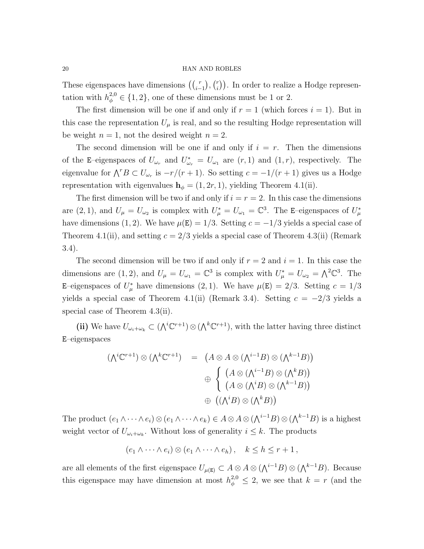These eigenspaces have dimensions  $\left(\binom{r}{i-1},\binom{r}{i}\right)$  $\binom{r}{i}$ ). In order to realize a Hodge representation with  $h_{\phi}^{2,0} \in \{1,2\}$ , one of these dimensions must be 1 or 2.

The first dimension will be one if and only if  $r = 1$  (which forces  $i = 1$ ). But in this case the representation  $U_{\mu}$  is real, and so the resulting Hodge representation will be weight  $n = 1$ , not the desired weight  $n = 2$ .

The second dimension will be one if and only if  $i = r$ . Then the dimensions of the E-eigenspaces of  $U_{\omega_r}$  and  $U_{\omega_r}^* = U_{\omega_1}$  are  $(r, 1)$  and  $(1, r)$ , respectively. The eigenvalue for  $\bigwedge^r B \subset U_{\omega_r}$  is  $-r/(r+1)$ . So setting  $c = -1/(r+1)$  gives us a Hodge representation with eigenvalues  $h_{\phi} = (1, 2r, 1)$ , yielding Theorem 4.1(ii).

The first dimension will be two if and only if  $i = r = 2$ . In this case the dimensions are (2, 1), and  $U_{\mu} = U_{\omega_2}$  is complex with  $U_{\mu}^* = U_{\omega_1} = \mathbb{C}^3$ . The E-eigenspaces of  $U_{\mu}^*$ have dimensions (1, 2). We have  $\mu(E) = 1/3$ . Setting  $c = -1/3$  yields a special case of Theorem 4.1(ii), and setting  $c = 2/3$  yields a special case of Theorem 4.3(ii) (Remark 3.4).

The second dimension will be two if and only if  $r = 2$  and  $i = 1$ . In this case the dimensions are (1,2), and  $U_{\mu} = U_{\omega_1} = \mathbb{C}^3$  is complex with  $U_{\mu}^* = U_{\omega_2} = \Lambda^2 \mathbb{C}^3$ . The E–eigenspaces of  $U^*_{\mu}$  have dimensions (2, 1). We have  $\mu(E) = 2/3$ . Setting  $c = 1/3$ yields a special case of Theorem 4.1(ii) (Remark 3.4). Setting  $c = -2/3$  yields a special case of Theorem 4.3(ii).

(ii) We have  $U_{\omega_i+\omega_k} \subset (\bigwedge^i \mathbb{C}^{r+1}) \otimes (\bigwedge^k \mathbb{C}^{r+1}),$  with the latter having three distinct E–eigenspaces

$$
(\Lambda^i \mathbb{C}^{r+1}) \otimes (\Lambda^k \mathbb{C}^{r+1}) = (A \otimes A \otimes (\Lambda^{i-1} B) \otimes (\Lambda^{k-1} B))
$$

$$
\oplus \begin{cases} (A \otimes (\Lambda^{i-1} B) \otimes (\Lambda^k B)) \\ (A \otimes (\Lambda^i B) \otimes (\Lambda^{k-1} B)) \\ ((\Lambda^i B) \otimes (\Lambda^k B)) \end{cases}
$$

The product  $(e_1 \wedge \cdots \wedge e_i) \otimes (e_1 \wedge \cdots \wedge e_k) \in A \otimes A \otimes (\bigwedge^{i-1} B) \otimes (\bigwedge^{k-1} B)$  is a highest weight vector of  $U_{\omega_i+\omega_k}$ . Without loss of generality  $i \leq k$ . The products

$$
(e_1 \wedge \cdots \wedge e_i) \otimes (e_1 \wedge \cdots \wedge e_h), \quad k \leq h \leq r+1,
$$

are all elements of the first eigenspace  $U_{\mu(E)} \subset A \otimes A \otimes (\bigwedge^{i-1} B) \otimes (\bigwedge^{k-1} B)$ . Because this eigenspace may have dimension at most  $h_{\phi}^{2,0} \leq 2$ , we see that  $k = r$  (and the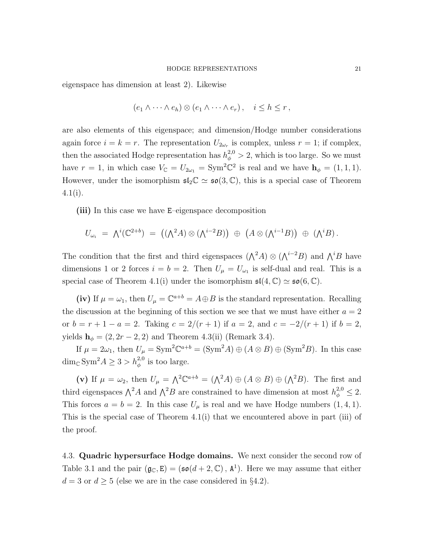eigenspace has dimension at least 2). Likewise

$$
(e_1 \wedge \cdots \wedge e_h) \otimes (e_1 \wedge \cdots \wedge e_r), \quad i \leq h \leq r,
$$

are also elements of this eigenspace; and dimension/Hodge number considerations again force  $i = k = r$ . The representation  $U_{2\omega_r}$  is complex, unless  $r = 1$ ; if complex, then the associated Hodge representation has  $h_{\phi}^{2,0} > 2$ , which is too large. So we must have  $r = 1$ , in which case  $V_{\mathbb{C}} = U_{2\omega_1} = \text{Sym}^2 \mathbb{C}^2$  is real and we have  $\mathbf{h}_{\phi} = (1, 1, 1)$ . However, under the isomorphism  $\mathfrak{sl}_2\mathbb{C} \simeq \mathfrak{so}(3,\mathbb{C})$ , this is a special case of Theorem  $4.1(i)$ .

(iii) In this case we have E–eigenspace decomposition

$$
U_{\omega_i} = \Lambda^i(\mathbb{C}^{2+b}) = ((\Lambda^2 A) \otimes (\Lambda^{i-2} B)) \oplus (A \otimes (\Lambda^{i-1} B)) \oplus (\Lambda^i B).
$$

The condition that the first and third eigenspaces  $(\bigwedge^2 A) \otimes (\bigwedge^{i-2} B)$  and  $\bigwedge^i B$  have dimensions 1 or 2 forces  $i = b = 2$ . Then  $U_{\mu} = U_{\omega_1}$  is self-dual and real. This is a special case of Theorem 4.1(i) under the isomorphism  $\mathfrak{sl}(4,\mathbb{C}) \simeq \mathfrak{so}(6,\mathbb{C})$ .

(iv) If  $\mu = \omega_1$ , then  $U_{\mu} = \mathbb{C}^{a+b} = A \oplus B$  is the standard representation. Recalling the discussion at the beginning of this section we see that we must have either  $a = 2$ or  $b = r + 1 - a = 2$ . Taking  $c = 2/(r + 1)$  if  $a = 2$ , and  $c = -2/(r + 1)$  if  $b = 2$ , yields  $h_{\phi} = (2, 2r - 2, 2)$  and Theorem 4.3(ii) (Remark 3.4).

If  $\mu = 2\omega_1$ , then  $U_{\mu} = \text{Sym}^2 \mathbb{C}^{a+b} = (\text{Sym}^2 A) \oplus (A \otimes B) \oplus (\text{Sym}^2 B)$ . In this case  $\dim_{\mathbb{C}} \text{Sym}^2 A \geq 3 > h_{\phi}^{2,0}$  is too large.

(v) If  $\mu = \omega_2$ , then  $U_{\mu} = \Lambda^2 \mathbb{C}^{a+b} = (\Lambda^2 A) \oplus (A \otimes B) \oplus (\Lambda^2 B)$ . The first and third eigenspaces  $\bigwedge^2 A$  and  $\bigwedge^2 B$  are constrained to have dimension at most  $h_{\phi}^{2,0} \leq 2$ . This forces  $a = b = 2$ . In this case  $U_{\mu}$  is real and we have Hodge numbers  $(1, 4, 1)$ . This is the special case of Theorem 4.1(i) that we encountered above in part (iii) of the proof.

4.3. Quadric hypersurface Hodge domains. We next consider the second row of Table 3.1 and the pair  $(\mathfrak{g}_{\mathbb{C}}, \mathbb{E}) = (\mathfrak{so}(d+2, \mathbb{C}), \mathbb{A}^1)$ . Here we may assume that either  $d = 3$  or  $d \geq 5$  (else we are in the case considered in §4.2).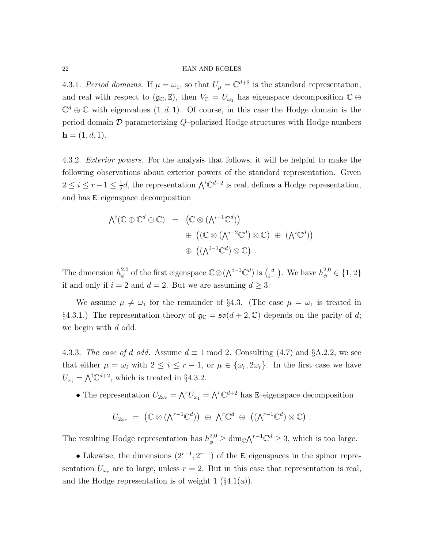4.3.1. Period domains. If  $\mu = \omega_1$ , so that  $U_{\mu} = \mathbb{C}^{d+2}$  is the standard representation, and real with respect to  $(g_{\mathbb{C}}, E)$ , then  $V_{\mathbb{C}} = U_{\omega_1}$  has eigenspace decomposition  $\mathbb{C} \oplus$  $\mathbb{C}^d \oplus \mathbb{C}$  with eigenvalues  $(1, d, 1)$ . Of course, in this case the Hodge domain is the period domain  $\mathcal D$  parameterizing Q-polarized Hodge structures with Hodge numbers  $h = (1, d, 1).$ 

4.3.2. *Exterior powers*. For the analysis that follows, it will be helpful to make the following observations about exterior powers of the standard representation. Given  $2\leq i\leq r-1\leq \frac{1}{2}$  $\frac{1}{2}d$ , the representation  $\bigwedge^i \mathbb{C}^{d+2}$  is real, defines a Hodge representation, and has E–eigenspace decomposition

$$
\begin{array}{rcl}\n\bigwedge^i(\mathbb{C}\oplus\mathbb{C}^d\oplus\mathbb{C}) & = & \left(\mathbb{C}\otimes(\bigwedge^{i-1}\mathbb{C}^d)\right) \\
& \oplus & \left((\mathbb{C}\otimes(\bigwedge^{i-2}\mathbb{C}^d)\otimes\mathbb{C}\right)\ \oplus & \left(\bigwedge^i\mathbb{C}^d\right)\right) \\
& \oplus & \left((\bigwedge^{i-1}\mathbb{C}^d)\otimes\mathbb{C}\right)\ .\n\end{array}
$$

The dimension  $h_{\phi}^{2,0}$  $\phi_{\phi}^{2,0}$  of the first eigenspace  $\mathbb{C}\otimes (\bigwedge^{i-1}\mathbb{C}^{d})$  is  $\binom{d}{i-1}$  $\binom{d}{i-1}$ . We have  $h_{\phi}^{2,0} \in \{1,2\}$ if and only if  $i = 2$  and  $d = 2$ . But we are assuming  $d \geq 3$ .

We assume  $\mu \neq \omega_1$  for the remainder of §4.3. (The case  $\mu = \omega_1$  is treated in §4.3.1.) The representation theory of  $\mathfrak{g}_{\mathbb{C}} = \mathfrak{so}(d+2,\mathbb{C})$  depends on the parity of d; we begin with d odd.

4.3.3. The case of d odd. Assume  $d \equiv 1 \mod 2$ . Consulting (4.7) and §A.2.2, we see that either  $\mu = \omega_i$  with  $2 \leq i \leq r-1$ , or  $\mu \in {\{\omega_r, 2\omega_r\}}$ . In the first case we have  $U_{\omega_i} = \bigwedge^i \mathbb{C}^{d+2}$ , which is treated in §4.3.2.

• The representation  $U_{2\omega_r} = \bigwedge^r U_{\omega_1} = \bigwedge^r \mathbb{C}^{d+2}$  has E-eigenspace decomposition

$$
U_{2\omega_r} = (\mathbb{C} \otimes (\Lambda^{r-1} \mathbb{C}^d)) \oplus \Lambda^r \mathbb{C}^d \oplus ((\Lambda^{r-1} \mathbb{C}^d) \otimes \mathbb{C}) .
$$

The resulting Hodge representation has  $h_{\phi}^{2,0} \ge \dim_{\mathbb{C}} \Lambda^{r-1} \mathbb{C}^d \ge 3$ , which is too large.

• Likewise, the dimensions  $(2^{r-1}, 2^{r-1})$  of the E–eigenspaces in the spinor representation  $U_{\omega_r}$  are to large, unless  $r = 2$ . But in this case that representation is real, and the Hodge representation is of weight  $1 \left( \S 4.1(a) \right)$ .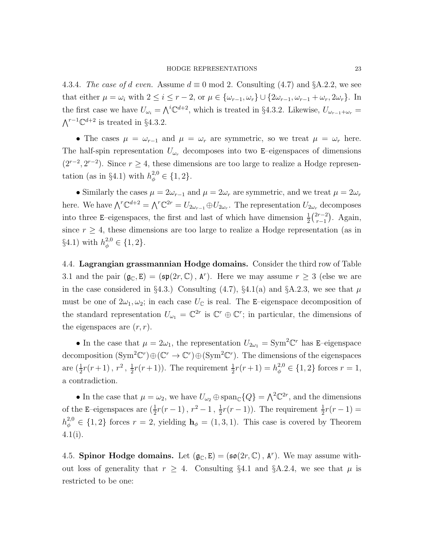4.3.4. The case of d even. Assume  $d \equiv 0 \mod 2$ . Consulting (4.7) and §A.2.2, we see that either  $\mu = \omega_i$  with  $2 \leq i \leq r-2$ , or  $\mu \in {\{\omega_{r-1}, \omega_r\}} \cup {\{2\omega_{r-1}, \omega_{r-1} + \omega_r, 2\omega_r\}}$ . In the first case we have  $U_{\omega_i} = \bigwedge^i {\mathbb{C}}^{d+2}$ , which is treated in §4.3.2. Likewise,  $U_{\omega_{r-1}+\omega_r}$  $\bigwedge^{r-1} \mathbb{C}^{d+2}$  is treated in §4.3.2.

• The cases  $\mu = \omega_{r-1}$  and  $\mu = \omega_r$  are symmetric, so we treat  $\mu = \omega_r$  here. The half-spin representation  $U_{\omega_r}$  decomposes into two E–eigenspaces of dimensions  $(2^{r-2}, 2^{r-2})$ . Since  $r \geq 4$ , these dimensions are too large to realize a Hodge representation (as in §4.1) with  $h_{\phi}^{2,0} \in \{1,2\}.$ 

• Similarly the cases  $\mu = 2\omega_{r-1}$  and  $\mu = 2\omega_r$  are symmetric, and we treat  $\mu = 2\omega_r$ here. We have  $\bigwedge^r \mathbb{C}^{d+2} = \bigwedge^r \mathbb{C}^{2r} = U_{2\omega_{r-1}} \oplus U_{2\omega_r}$ . The representation  $U_{2\omega_r}$  decomposes into three E–eigenspaces, the first and last of which have dimension  $\frac{1}{2} \binom{2r-2}{r-1}$  $\binom{2r-2}{r-1}$ . Again, since  $r \geq 4$ , these dimensions are too large to realize a Hodge representation (as in §4.1) with  $h_{\phi}^{2,0} \in \{1,2\}.$ 

4.4. Lagrangian grassmannian Hodge domains. Consider the third row of Table 3.1 and the pair  $(\mathfrak{g}_{\mathbb{C}}, \mathbb{E}) = (\mathfrak{sp}(2r, \mathbb{C}), \mathbb{A}^r)$ . Here we may assume  $r \geq 3$  (else we are in the case considered in §4.3.) Consulting (4.7), §4.1(a) and §A.2.3, we see that  $\mu$ must be one of  $2\omega_1, \omega_2$ ; in each case  $U_{\mathbb{C}}$  is real. The E-eigenspace decomposition of the standard representation  $U_{\omega_1} = \mathbb{C}^{2r}$  is  $\mathbb{C}^r \oplus \mathbb{C}^r$ ; in particular, the dimensions of the eigenspaces are  $(r, r)$ .

• In the case that  $\mu = 2\omega_1$ , the representation  $U_{2\omega_1} = \text{Sym}^2 \mathbb{C}^r$  has E-eigenspace decomposition  $(\text{Sym}^2 \mathbb{C}^r) \oplus (\mathbb{C}^r \to \mathbb{C}^r) \oplus (\text{Sym}^2 \mathbb{C}^r)$ . The dimensions of the eigenspaces are  $(\frac{1}{2}r(r+1), r^2, \frac{1}{2})$  $\frac{1}{2}r(r+1)$ ). The requirement  $\frac{1}{2}r(r+1) = h_{\phi}^{2,0} \in \{1,2\}$  forces  $r = 1$ , a contradiction.

• In the case that  $\mu = \omega_2$ , we have  $U_{\omega_2} \oplus \text{span}_{\mathbb{C}}\{Q\} = \bigwedge^2 \mathbb{C}^{2r}$ , and the dimensions of the E–eigen<br>spaces are  $(\frac{1}{2}r(r-1) \, , \, r^2-1 \, , \, \frac{1}{2}$  $\frac{1}{2}r(r-1)$ ). The requirement  $\frac{1}{2}r(r-1)$  =  $h_{\phi}^{2,0} \in \{1,2\}$  forces  $r=2$ , yielding  $\mathbf{h}_{\phi}=(1,3,1)$ . This case is covered by Theorem 4.1(i).

4.5. Spinor Hodge domains. Let  $(\mathfrak{g}_{\mathbb{C}}, \mathbb{E}) = (\mathfrak{so}(2r, \mathbb{C}), \mathbb{A}^r)$ . We may assume without loss of generality that  $r \geq 4$ . Consulting §4.1 and §A.2.4, we see that  $\mu$  is restricted to be one: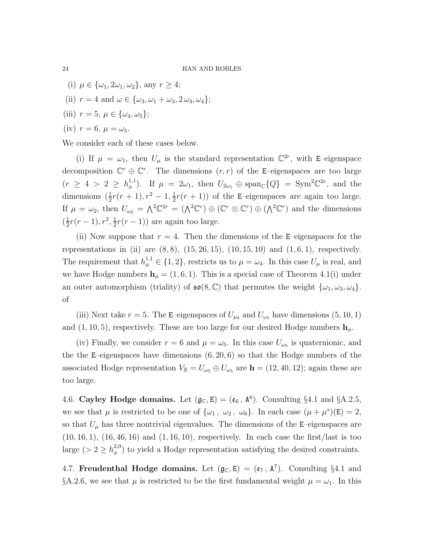(i) 
$$
\mu \in \{\omega_1, 2\omega_1, \omega_2\}
$$
, any  $r \ge 4$ ;  
\n(ii)  $r = 4$  and  $\omega \in \{\omega_3, \omega_1 + \omega_3, 2\omega_3, \omega_4\}$ ;  
\n(iii)  $r = 5$ ,  $\mu \in \{\omega_4, \omega_5\}$ ;  
\n(iv)  $r = 6$ ,  $\mu = \omega_5$ .

We consider each of these cases below.

(i) If  $\mu = \omega_1$ , then  $U_\mu$  is the standard representation  $\mathbb{C}^{2r}$ , with E-eigenspace decomposition  $\mathbb{C}^r \oplus \mathbb{C}^r$ . The dimensions  $(r, r)$  of the E-eigenspaces are too large  $(r \geq 4 > 2 \geq h_0^{1,1})$ <sup>1,1</sup>). If  $\mu = 2\omega_1$ , then  $U_{2\omega_1} \oplus \text{span}_{\mathbb{C}}\{Q\} = \text{Sym}^2 \mathbb{C}^{2r}$ , and the dimensions  $(\frac{1}{2}r(r+1), r^2 - 1, \frac{1}{2})$  $\frac{1}{2}r(r+1)$  of the E-eigenspaces are again too large. If  $\mu = \omega_2$ , then  $U_{\omega_2} = \Lambda^2 \mathbb{C}^{2r} = (\Lambda^2 \mathbb{C}^r) \oplus (\mathbb{C}^r \otimes \mathbb{C}^r) \oplus (\Lambda^2 \mathbb{C}^r)$  and the dimensions  $\left(\frac{1}{2}\right)$  $\frac{1}{2}r(r-1), r^2, \frac{1}{2}$  $\frac{1}{2}r(r-1)$  are again too large.

(ii) Now suppose that  $r = 4$ . Then the dimensions of the E–eigenspaces for the representations in (ii) are  $(8, 8)$ ,  $(15, 26, 15)$ ,  $(10, 15, 10)$  and  $(1, 6, 1)$ , respectively. The requirement that  $h_{\phi}^{1,1} \in \{1,2\}$ , restricts us to  $\mu = \omega_4$ . In this case  $U_{\mu}$  is real, and we have Hodge numbers  $h_{\phi} = (1, 6, 1)$ . This is a special case of Theorem 4.1(i) under an outer automorphism (triality) of  $\mathfrak{so}(8,\mathbb{C})$  that permutes the weight  $\{\omega_1,\omega_3,\omega_4\}.$ of

(iii) Next take  $r = 5$ . The E–eigenspaces of  $U_{\mu_4}$  and  $U_{\omega_5}$  have dimensions (5, 10, 1) and  $(1, 10, 5)$ , respectively. These are too large for our desired Hodge numbers  $h_{\phi}$ .

(iv) Finally, we consider  $r = 6$  and  $\mu = \omega_5$ . In this case  $U_{\omega_5}$  is quaternionic, and the the E–eigenspaces have dimensions  $(6, 20, 6)$  so that the Hodge numbers of the associated Hodge representation  $V_{\mathbb{R}} = U_{\omega_5} \oplus U_{\omega_5}$  are  $\mathbf{h} = (12, 40, 12)$ ; again these are too large.

4.6. Cayley Hodge domains. Let  $(\mathfrak{g}_{\mathbb{C}}, \mathsf{E}) = (\mathfrak{e}_6, \mathsf{A}^6)$ . Consulting §4.1 and §A.2.5, we see that  $\mu$  is restricted to be one of  $\{\omega_1, \omega_2, \omega_6\}$ . In each case  $(\mu + \mu^*)(E) = 2$ , so that  $U_{\mu}$  has three nontrivial eigenvalues. The dimensions of the E–eigenspaces are  $(10, 16, 1), (16, 46, 16)$  and  $(1, 16, 10)$ , respectively. In each case the first/last is too large (>  $2 \geq h_\phi^{2,0}$  $\phi_{\phi}^{2,0}$  to yield a Hodge representation satisfying the desired constraints.

4.7. Freudenthal Hodge domains. Let  $(\mathfrak{g}_{\mathbb{C}}, \mathsf{E}) = (\mathfrak{e}_{7}, \mathsf{A}^{7})$ . Consulting §4.1 and §A.2.6, we see that  $\mu$  is restricted to be the first fundamental weight  $\mu = \omega_1$ . In this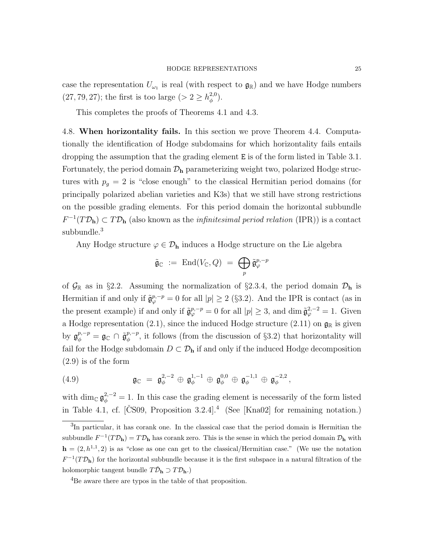case the representation  $U_{\omega_1}$  is real (with respect to  $\mathfrak{g}_{\mathbb{R}}$ ) and we have Hodge numbers  $(27, 79, 27)$ ; the first is too large  $(> 2 \geq h_\phi^{2,0})$  $\binom{2,0}{\phi}$ .

This completes the proofs of Theorems 4.1 and 4.3.

4.8. When horizontality fails. In this section we prove Theorem 4.4. Computationally the identification of Hodge subdomains for which horizontality fails entails dropping the assumption that the grading element E is of the form listed in Table 3.1. Fortunately, the period domain  $\mathcal{D}_{h}$  parameterizing weight two, polarized Hodge structures with  $p_g = 2$  is "close enough" to the classical Hermitian period domains (for principally polarized abelian varieties and K3s) that we still have strong restrictions on the possible grading elements. For this period domain the horizontal subbundle  $F^{-1}(T\mathcal{D}_h) \subset T\mathcal{D}_h$  (also known as the *infinitesimal period relation* (IPR)) is a contact subbundle.<sup>3</sup>

Any Hodge structure  $\varphi \in \mathcal{D}_h$  induces a Hodge structure on the Lie algebra

$$
\tilde{\mathfrak{g}}_{\mathbb{C}} \ := \ \mathrm{End}(V_{\mathbb{C}},Q) \ = \ \bigoplus_{p} \tilde{\mathfrak{g}}_{\varphi}^{p,-p}
$$

of  $\mathcal{G}_{\mathbb{R}}$  as in §2.2. Assuming the normalization of §2.3.4, the period domain  $\mathcal{D}_{\mathbf{h}}$  is Hermitian if and only if  $\tilde{\mathfrak{g}}_{\varphi}^{p,-p} = 0$  for all  $|p| \geq 2$  (§3.2). And the IPR is contact (as in the present example) if and only if  $\tilde{\mathfrak{g}}_{\varphi}^{p,-p} = 0$  for all  $|p| \geq 3$ , and dim  $\tilde{\mathfrak{g}}_{\varphi}^{2,-2} = 1$ . Given a Hodge representation (2.1), since the induced Hodge structure (2.11) on  $\mathfrak{g}_{\mathbb{R}}$  is given by  $\mathfrak{g}_{\phi}^{p,-p} = \mathfrak{g}_{\mathbb{C}} \cap \tilde{\mathfrak{g}}_{\phi}^{p,-p}$  $\phi_{\phi}^{p,-p}$ , it follows (from the discussion of §3.2) that horizontality will fail for the Hodge subdomain  $D \subset \mathcal{D}_h$  if and only if the induced Hodge decomposition (2.9) is of the form

(4.9) 
$$
\mathfrak{g}_{\mathbb{C}} = \mathfrak{g}_{\phi}^{2,-2} \oplus \mathfrak{g}_{\phi}^{1,-1} \oplus \mathfrak{g}_{\phi}^{0,0} \oplus \mathfrak{g}_{\phi}^{-1,1} \oplus \mathfrak{g}_{\phi}^{-2,2},
$$

with dim<sub>C</sub>  $\mathfrak{g}_{\phi}^{2,-2} = 1$ . In this case the grading element is necessarily of the form listed in Table 4.1, cf. [CS09, Proposition  $3.2.4$ ].<sup>4</sup> (See [Kna02] for remaining notation.)

<sup>&</sup>lt;sup>3</sup>In particular, it has corank one. In the classical case that the period domain is Hermitian the subbundle  $F^{-1}(T\mathcal{D}_h) = T\mathcal{D}_h$  has corank zero. This is the sense in which the period domain  $\mathcal{D}_h$  with  $h = (2, h^{1,1}, 2)$  is as "close as one can get to the classical/Hermitian case." (We use the notation  $F^{-1}(T\mathcal{D}_h)$  for the horizontal subbundle because it is the first subspace in a natural filtration of the holomorphic tangent bundle  $T\check{\mathcal{D}}_{\mathbf{h}} \supset T\mathcal{D}_{\mathbf{h}}$ .)

<sup>&</sup>lt;sup>4</sup>Be aware there are typos in the table of that proposition.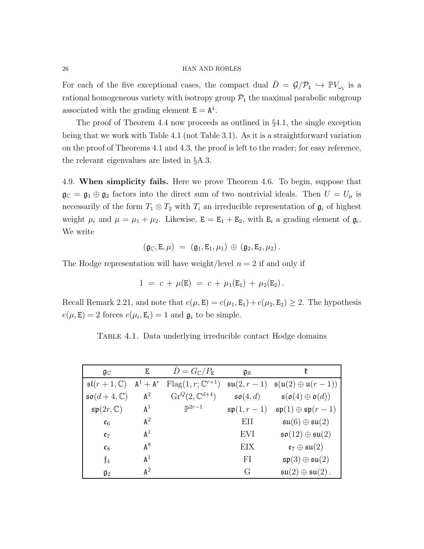For each of the five exceptional cases, the compact dual  $\check{D} = \mathcal{G}/\mathcal{P}_{i} \hookrightarrow \mathbb{P}V_{\omega_{i}}$  is a rational homogeneous variety with isotropy group  $P_i$  the maximal parabolic subgroup associated with the grading element  $E = A^i$ .

The proof of Theorem 4.4 now proceeds as outlined in  $\S 4.1$ , the single exception being that we work with Table 4.1 (not Table 3.1). As it is a straightforward variation on the proof of Theorems 4.1 and 4.3, the proof is left to the reader; for easy reference, the relevant eigenvalues are listed in §A.3.

4.9. When simplicity fails. Here we prove Theorem 4.6. To begin, suppose that  $\mathfrak{g}_{\mathbb{C}} = \mathfrak{g}_1 \oplus \mathfrak{g}_2$  factors into the direct sum of two nontrivial ideals. Then  $U = U_\mu$  is necessarily of the form  $T_1 \otimes T_2$  with  $T_i$  an irreducible representation of  $\mathfrak{g}_i$  of highest weight  $\mu_i$  and  $\mu = \mu_1 + \mu_2$ . Likewise,  $\mathbf{E} = \mathbf{E}_1 + \mathbf{E}_2$ , with  $\mathbf{E}_i$  a grading element of  $\mathfrak{g}_i$ . We write

$$
(\mathfrak{g}_\mathbb{C},\mathtt{E},\mu) = (\mathfrak{g}_1,\mathtt{E}_1,\mu_1) \oplus (\mathfrak{g}_2,\mathtt{E}_2,\mu_2).
$$

The Hodge representation will have weight/level  $n = 2$  if and only if

$$
1 = c + \mu(E) = c + \mu_1(E_1) + \mu_2(E_2).
$$

Recall Remark 2.21, and note that  $e(\mu, E) = e(\mu_1, E_1) + e(\mu_2, E_2) \geq 2$ . The hypothesis  $e(\mu, \mathbf{E}) = 2$  forces  $e(\mu_i, \mathbf{E}_i) = 1$  and  $\mathfrak{g}_i$  to be simple.

TABLE 4.1. Data underlying irreducible contact Hodge domains

| $\mathfrak{g}_{\mathbb{C}}$     | E              | $\check{D}=G_{\mathbb{C}}/P_{\mathbb{E}}$ | $\mathfrak{g}_{\mathbb{R}}$ | ł                                                                  |
|---------------------------------|----------------|-------------------------------------------|-----------------------------|--------------------------------------------------------------------|
| $\mathfrak{sl}(r+1,\mathbb{C})$ | $A^1 + A^r$    | $Flag(1, r; \mathbb{C}^{r+1})$            | $\mathfrak{su}(2,r-1)$      | $\mathfrak{s}(\mathfrak{u}(2)\oplus\mathfrak{u}(r-1))$             |
| $\mathfrak{so}(d+4,\mathbb{C})$ | $A^2$          | $\text{Gr}^Q(2,\mathbb{C}^{d+4})$         | $\mathfrak{so}(4,d)$        | $\mathfrak{s}(\mathfrak{o}(4) \oplus \mathfrak{o}(d))$             |
| $\mathfrak{sp}(2r,\mathbb{C})$  | $A^1$          | $\mathbb{P}^{2r-1}$                       |                             | $\mathfrak{sp}(1,r-1)$ $\mathfrak{sp}(1)\oplus \mathfrak{sp}(r-1)$ |
| $\mathfrak{e}_6$                | $A^2$          |                                           | EII                         | $\mathfrak{su}(6) \oplus \mathfrak{su}(2)$                         |
| $e_7$                           | $\mathtt{A}^1$ |                                           | <b>EVI</b>                  | $\mathfrak{so}(12)\oplus \mathfrak{su}(2)$                         |
| $\mathfrak{e}_8$                | ${\tt A}^8$    |                                           | EIX                         | $\mathfrak{e}_7\oplus\mathfrak{su}(2)$                             |
| $\mathfrak{f}_4$                | $\mathtt{A}^1$ |                                           | FI                          | $\mathfrak{sp}(3)\oplus \mathfrak{su}(2)$                          |
| $\mathfrak{g}_2$                | $\mathsf{A}^2$ |                                           | G                           | $\mathfrak{su}(2)\oplus \mathfrak{su}(2)$ .                        |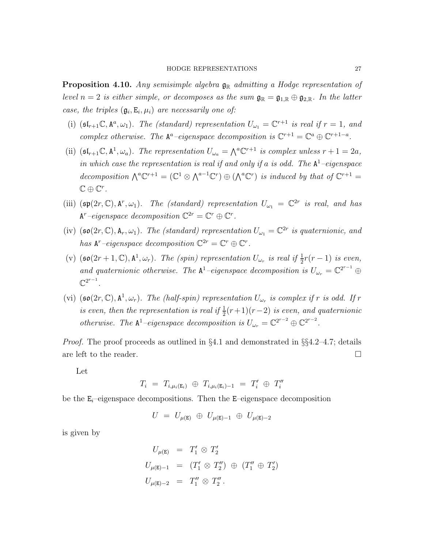**Proposition 4.10.** Any semisimple algebra  $\mathfrak{g}_{\mathbb{R}}$  admitting a Hodge representation of level  $n = 2$  is either simple, or decomposes as the sum  $\mathfrak{g}_{\mathbb{R}} = \mathfrak{g}_{1,\mathbb{R}} \oplus \mathfrak{g}_{2,\mathbb{R}}$ . In the latter case, the triples  $(\mathfrak{g}_i, \mathbb{E}_i, \mu_i)$  are necessarily one of:

- (i)  $(\mathfrak{sl}_{r+1}\mathbb{C}, \mathbb{A}^a, \omega_1)$ . The (standard) representation  $U_{\omega_1} = \mathbb{C}^{r+1}$  is real if  $r = 1$ , and complex otherwise. The  $A^a$ -eigenspace decomposition is  $\mathbb{C}^{r+1} = \mathbb{C}^a \oplus \mathbb{C}^{r+1-a}$ .
- (ii)  $(\mathfrak{sl}_{r+1}\mathbb{C}, \mathbb{A}^1, \omega_a)$ . The representation  $U_{\omega_a} = \bigwedge^a \mathbb{C}^{r+1}$  is complex unless  $r+1 = 2a$ , in which case the representation is real if and only if a is odd. The  $A^1$ -eigenspace decomposition  $\bigwedge^a \mathbb{C}^{r+1} = (\mathbb{C}^1 \otimes \bigwedge^{a-1} \mathbb{C}^r) \oplus (\bigwedge^a \mathbb{C}^r)$  is induced by that of  $\mathbb{C}^{r+1} =$  $\mathbb{C}\oplus\mathbb{C}^r$ .
- (iii)  $(\mathfrak{sp}(2r,\mathbb{C}),\mathbf{A}^r,\omega_1)$ . The (standard) representation  $U_{\omega_1} = \mathbb{C}^{2r}$  is real, and has  $A^r$ -eigenspace decomposition  $\mathbb{C}^{2r} = \mathbb{C}^r \oplus \mathbb{C}^r$ .
- (iv)  $(\mathfrak{so}(2r,\mathbb{C}),\mathbf{A}_r,\omega_1)$ . The (standard) representation  $U_{\omega_1}=\mathbb{C}^{2r}$  is quaternionic, and has  $A^r$ -eigenspace decomposition  $\mathbb{C}^{2r} = \mathbb{C}^r \oplus \mathbb{C}^r$ .
- (v)  $(\mathfrak{so}(2r+1,\mathbb{C}),\mathbb{A}^1,\omega_r)$ . The (spin) representation  $U_{\omega_r}$  is real if  $\frac{1}{2}r(r-1)$  is even, and quaternionic otherwise. The  $A^1$ -eigenspace decomposition is  $U_{\omega_r} = \mathbb{C}^{2^{r-1}} \oplus$  $\mathbb{C}^{2^{r-1}}$ .
- (vi)  $(\mathfrak{so}(2r,\mathbb{C}),\mathbb{A}^1,\omega_r)$ . The (half-spin) representation  $U_{\omega_r}$  is complex if r is odd. If r is even, then the representation is real if  $\frac{1}{2}(r+1)(r-2)$  is even, and quaternionic otherwise. The  $A^1$ -eigenspace decomposition is  $U_{\omega_r} = \mathbb{C}^{2^{r-2}} \oplus \mathbb{C}^{2^{r-2}}$ .

*Proof.* The proof proceeds as outlined in  $\S 4.1$  and demonstrated in  $\S 4.2-4.7$ ; details are left to the reader.  $\Box$ 

Let

$$
T_i = T_{i,\mu_i(E_i)} \oplus T_{i,\mu_i(E_i)-1} = T'_i \oplus T''_i
$$

be the  $E_i$ -eigenspace decompositions. Then the E-eigenspace decomposition

$$
U~=~U_{\mu(\mathtt{E})}~\oplus~U_{\mu(\mathtt{E})-1}~\oplus~U_{\mu(\mathtt{E})-2}
$$

is given by

$$
U_{\mu(E)} = T'_1 \otimes T'_2
$$
  
\n
$$
U_{\mu(E)-1} = (T'_1 \otimes T''_2) \oplus (T''_1 \oplus T'_2)
$$
  
\n
$$
U_{\mu(E)-2} = T''_1 \otimes T''_2.
$$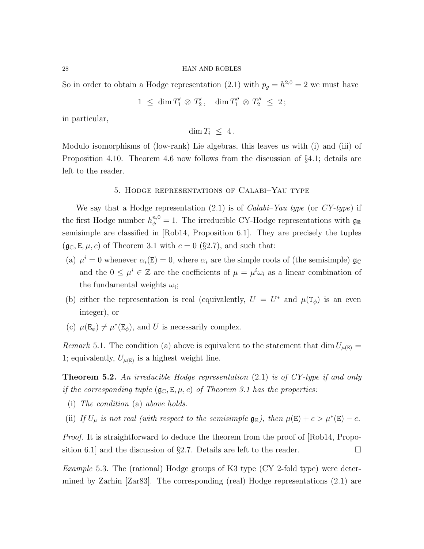So in order to obtain a Hodge representation (2.1) with  $p_g = h^{2,0} = 2$  we must have

$$
1 \leq \dim T'_1 \otimes T'_2, \quad \dim T''_1 \otimes T''_2 \leq 2;
$$

in particular,

 $\dim T_i \leq 4$ .

Modulo isomorphisms of (low-rank) Lie algebras, this leaves us with (i) and (iii) of Proposition 4.10. Theorem 4.6 now follows from the discussion of §4.1; details are left to the reader.

# 5. Hodge representations of Calabi–Yau type

We say that a Hodge representation  $(2.1)$  is of *Calabi–Yau type* (or *CY-type*) if the first Hodge number  $h_{\phi}^{n,0} = 1$ . The irreducible CY-Hodge representations with  $\mathfrak{g}_{\mathbb{R}}$ semisimple are classified in [Rob14, Proposition 6.1]. They are precisely the tuples  $(\mathfrak{g}_{\mathbb{C}}, \mathbb{E}, \mu, c)$  of Theorem 3.1 with  $c = 0$  (§2.7), and such that:

- (a)  $\mu^{i} = 0$  whenever  $\alpha_{i}(\mathbf{E}) = 0$ , where  $\alpha_{i}$  are the simple roots of (the semisimple)  $\mathfrak{g}_{\mathbb{C}}$ and the  $0 \leq \mu^i \in \mathbb{Z}$  are the coefficients of  $\mu = \mu^i \omega_i$  as a linear combination of the fundamental weights  $\omega_i$ ;
- (b) either the representation is real (equivalently,  $U = U^*$  and  $\mu(\mathbf{T}_{\phi})$  is an even integer), or
- (c)  $\mu(\mathbf{E}_{\phi}) \neq \mu^*(\mathbf{E}_{\phi})$ , and U is necessarily complex.

Remark 5.1. The condition (a) above is equivalent to the statement that dim  $U_{\mu(E)} =$ 1; equivalently,  $U_{\mu(E)}$  is a highest weight line.

**Theorem 5.2.** An irreducible Hodge representation  $(2.1)$  is of CY-type if and only if the corresponding tuple  $(\mathfrak{g}_{\mathbb{C}}, \mathbb{E}, \mu, c)$  of Theorem 3.1 has the properties:

- (i) The condition (a) above holds.
- (ii) If  $U_{\mu}$  is not real (with respect to the semisimple  $\mathfrak{g}_{\mathbb{R}}$ ), then  $\mu(\mathsf{E}) + c > \mu^*(\mathsf{E}) c$ .

*Proof.* It is straightforward to deduce the theorem from the proof of [Rob14, Proposition 6.1] and the discussion of §2.7. Details are left to the reader.  $\Box$ 

Example 5.3. The (rational) Hodge groups of K3 type (CY 2-fold type) were determined by Zarhin [Zar83]. The corresponding (real) Hodge representations (2.1) are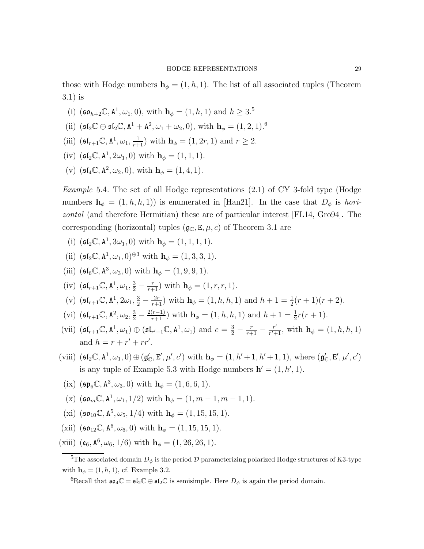those with Hodge numbers  $h_{\phi} = (1, h, 1)$ . The list of all associated tuples (Theorem 3.1) is

- (i)  $(\mathfrak{so}_{h+2}\mathbb{C}, \mathbb{A}^1, \omega_1, 0)$ , with  $\mathbf{h}_{\phi} = (1, h, 1)$  and  $h \geq 3.5$
- (ii)  $(\mathfrak{sl}_2 \mathbb{C} \oplus \mathfrak{sl}_2 \mathbb{C}, \mathbb{A}^1 + \mathbb{A}^2, \omega_1 + \omega_2, 0), \text{ with } \mathbf{h}_{\phi} = (1, 2, 1).^6$
- (iii)  $(\mathfrak{sl}_{r+1}\mathbb{C}, \mathbb{A}^1, \omega_1, \frac{1}{r+1})$  with  $\mathbf{h}_{\phi} = (1, 2r, 1)$  and  $r \geq 2$ .
- (iv)  $(\mathfrak{sl}_2\mathbb{C}, \mathbb{A}^1, 2\omega_1, 0)$  with  $\mathbf{h}_{\phi} = (1, 1, 1)$ .
- (v)  $(\mathfrak{sl}_4\mathbb{C}, \mathbb{A}^2, \omega_2, 0), \text{ with } \mathbf{h}_{\phi} = (1, 4, 1).$

*Example* 5.4. The set of all Hodge representations  $(2.1)$  of CY 3-fold type (Hodge numbers  $\mathbf{h}_{\phi} = (1, h, h, 1)$  is enumerated in [Han21]. In the case that  $D_{\phi}$  is horizontal (and therefore Hermitian) these are of particular interest [FL14, Gro94]. The corresponding (horizontal) tuples  $(\mathfrak{g}_{\mathbb{C}}, \mathsf{E}, \mu, c)$  of Theorem 3.1 are

- (i)  $(\mathfrak{sl}_2\mathbb{C}, \mathbb{A}^1, 3\omega_1, 0)$  with  $\mathbf{h}_{\phi} = (1, 1, 1, 1).$
- (ii)  $(\mathfrak{sl}_2\mathbb{C}, \mathbb{A}^1, \omega_1, 0)^{\oplus 3}$  with  $\mathbf{h}_{\phi} = (1, 3, 3, 1)$ .
- (iii)  $({\mathfrak {sl}}_6{\mathbb C}, {\mathbb A}^3, \omega_3, 0)$  with  ${\mathbf h}_\phi = (1, 9, 9, 1)$ .
- (iv)  $(\mathfrak{sl}_{r+1}\mathbb{C}, \mathbb{A}^1, \omega_1, \frac{3}{2}-\frac{r}{r+1})$  with  $\mathbf{h}_{\phi} = (1, r, r, 1)$ .
- (v)  $(\mathfrak{sl}_{r+1}\mathbb{C}, \mathbb{A}^1, 2\omega_1, \frac{3}{2} \frac{2r}{r+1})$  with  $\mathbf{h}_{\phi} = (1, h, h, 1)$  and  $h + 1 = \frac{1}{2}(r+1)(r+2)$ .
- (vi)  $(\mathfrak{sl}_{r+1}\mathbb{C}, \mathbb{A}^2, \omega_2, \frac{3}{2} \frac{2(r-1)}{r+1})$  with  $\mathbf{h}_{\phi} = (1, h, h, 1)$  and  $h + 1 = \frac{1}{2}r(r+1)$ .
- (vii)  $(\mathfrak{sl}_{r+1}\mathbb{C}, \mathbb{A}^1, \omega_1) \oplus (\mathfrak{sl}_{r'+1}\mathbb{C}, \mathbb{A}^1, \omega_1)$  and  $c = \frac{3}{2} \frac{r}{r+1} \frac{r'}{r'+1}$  $\frac{r'}{r'+1}$ , with  $\mathbf{h}_{\phi} = (1, h, h, 1)$ and  $h = r + r' + rr'.$
- (viii)  $(\mathfrak{sl}_2\mathbb{C}, \mathbb{A}^1, \omega_1, 0) \oplus (\mathfrak{g}'_{\mathbb{C}}, \mathbf{E}', \mu', c')$  with  $\mathbf{h}_{\phi} = (1, h' + 1, h' + 1, 1)$ , where  $(\mathfrak{g}'_{\mathbb{C}}, \mathbf{E}', \mu', c')$ is any tuple of Example 5.3 with Hodge numbers  $h' = (1, h', 1)$ .
- (ix)  $(\mathfrak{sp}_6\mathbb{C}, \mathbb{A}^3, \omega_3, 0)$  with  $\mathbf{h}_{\phi} = (1, 6, 6, 1)$ .
- (x)  $(\mathfrak{so}_m \mathbb{C}, \mathbb{A}^1, \omega_1, 1/2)$  with  $\mathbf{h}_{\phi} = (1, m 1, m 1, 1)$ .
- (xi)  $(\mathfrak{so}_{10}\mathbb{C}, \mathbf{A}^5, \omega_5, 1/4)$  with  $\mathbf{h}_{\phi} = (1, 15, 15, 1)$ .
- (xii)  $(\mathfrak{so}_{12} \mathbb{C}, \mathbf{A}^6, \omega_6, 0)$  with  $\mathbf{h}_{\phi} = (1, 15, 15, 1)$ .
- (xiii)  $(\mathfrak{e}_6, \mathfrak{A}^6, \omega_6, 1/6)$  with  $\mathbf{h}_{\phi} = (1, 26, 26, 1)$ .

<sup>&</sup>lt;sup>5</sup>The associated domain  $D_{\phi}$  is the period  $\mathcal D$  parameterizing polarized Hodge structures of K3-type with  $\mathbf{h}_{\phi} = (1, h, 1)$ , cf. Example 3.2.

<sup>&</sup>lt;sup>6</sup>Recall that  $\mathfrak{so}_4\mathbb{C} = \mathfrak{sl}_2\mathbb{C} \oplus \mathfrak{sl}_2\mathbb{C}$  is semisimple. Here  $D_\phi$  is again the period domain.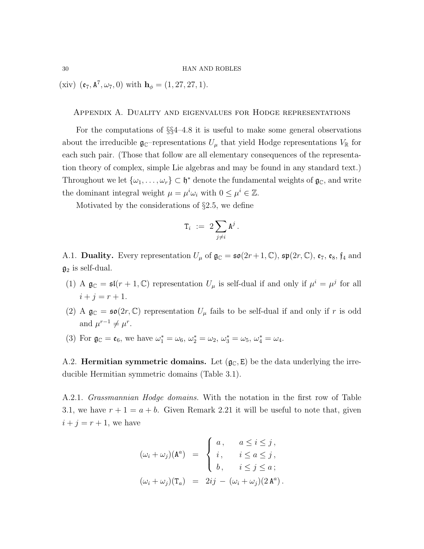(xiv)  $(e_7, A^7, \omega_7, 0)$  with  $h_{\phi} = (1, 27, 27, 1)$ .

# Appendix A. Duality and eigenvalues for Hodge representations

For the computations of §§4–4.8 it is useful to make some general observations about the irreducible  $\mathfrak{g}_{\mathbb{C}}$ -representations  $U_{\mu}$  that yield Hodge representations  $V_{\mathbb{R}}$  for each such pair. (Those that follow are all elementary consequences of the representation theory of complex, simple Lie algebras and may be found in any standard text.) Throughout we let  $\{\omega_1,\ldots,\omega_r\}\subset \mathfrak{h}^*$  denote the fundamental weights of  $\mathfrak{g}_\mathbb{C}$ , and write the dominant integral weight  $\mu = \mu^i \omega_i$  with  $0 \le \mu^i \in \mathbb{Z}$ .

Motivated by the considerations of §2.5, we define

$$
\mathrm{T}_i \ := \ 2 \sum_{j \neq i} \mathrm{A}^j \, .
$$

A.1. Duality. Every representation  $U_{\mu}$  of  $\mathfrak{g}_{\mathbb{C}} = \mathfrak{so}(2r+1,\mathbb{C}), \mathfrak{sp}(2r,\mathbb{C}), \mathfrak{e}_7, \mathfrak{e}_8, \mathfrak{f}_4$  and  $\mathfrak{g}_2$  is self-dual.

- (1) A  $\mathfrak{g}_{\mathbb{C}} = \mathfrak{sl}(r+1,\mathbb{C})$  representation  $U_{\mu}$  is self-dual if and only if  $\mu^{i} = \mu^{j}$  for all  $i + j = r + 1.$
- (2) A  $g_{\mathbb{C}} = \mathfrak{so}(2r, \mathbb{C})$  representation  $U_{\mu}$  fails to be self-dual if and only if r is odd and  $\mu^{r-1} \neq \mu^r$ .
- (3) For  $\mathfrak{g}_{\mathbb{C}} = \mathfrak{e}_6$ , we have  $\omega_1^* = \omega_6$ ,  $\omega_2^* = \omega_2$ ,  $\omega_3^* = \omega_5$ ,  $\omega_4^* = \omega_4$ .

A.2. **Hermitian symmetric domains.** Let  $(g<sub>C</sub>, E)$  be the data underlying the irreducible Hermitian symmetric domains (Table 3.1).

A.2.1. Grassmannian Hodge domains. With the notation in the first row of Table 3.1, we have  $r + 1 = a + b$ . Given Remark 2.21 it will be useful to note that, given  $i + j = r + 1$ , we have

$$
(\omega_i + \omega_j)(A^a) = \begin{cases} a, & a \leq i \leq j, \\ i, & i \leq a \leq j, \\ b, & i \leq j \leq a; \end{cases}
$$

$$
(\omega_i + \omega_j)(\mathbf{T}_a) = 2ij - (\omega_i + \omega_j)(2A^a).
$$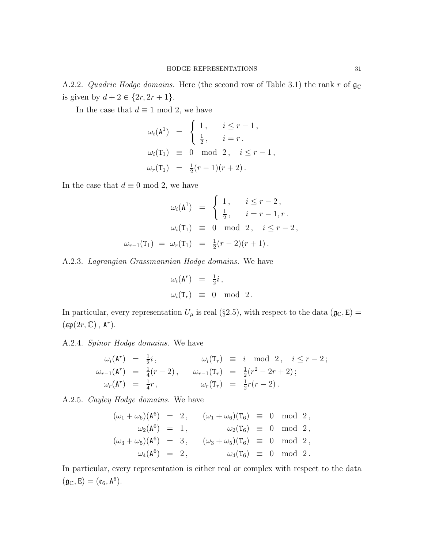A.2.2. Quadric Hodge domains. Here (the second row of Table 3.1) the rank r of  $\mathfrak{g}_{\mathbb{C}}$ is given by  $d + 2 \in \{2r, 2r + 1\}.$ 

In the case that  $d\equiv 1$  mod 2, we have

$$
\omega_i(\mathbf{A}^1) = \begin{cases} 1, & i \leq r - 1, \\ \frac{1}{2}, & i = r. \end{cases}
$$
  
\n
$$
\omega_i(\mathbf{T}_1) \equiv 0 \mod 2, \quad i \leq r - 1, \\ \omega_r(\mathbf{T}_1) = \frac{1}{2}(r - 1)(r + 2).
$$

In the case that  $d \equiv 0 \mod 2$ , we have

$$
\omega_i(\mathbf{A}^1) = \begin{cases} 1, & i \leq r - 2, \\ \frac{1}{2}, & i = r - 1, r. \end{cases}
$$

$$
\omega_i(\mathbf{T}_1) \equiv 0 \mod 2, \quad i \leq r - 2,
$$

$$
\omega_{r-1}(\mathbf{T}_1) = \omega_r(\mathbf{T}_1) = \frac{1}{2}(r - 2)(r + 1).
$$

A.2.3. Lagrangian Grassmannian Hodge domains. We have

$$
\omega_i(\mathbf{A}^r) = \frac{1}{2}i, \n\omega_i(\mathbf{T}_r) \equiv 0 \mod 2.
$$

In particular, every representation  $U_{\mu}$  is real (§2.5), with respect to the data ( $\mathfrak{g}_{\mathbb{C}}, \mathfrak{E}$ ) =  $(\mathfrak{sp}(2r,\mathbb{C}),\,\mathrm{A}^r).$ 

A.2.4. Spinor Hodge domains. We have

$$
\omega_i(\mathbf{A}^r) = \frac{1}{2}i, \qquad \omega_i(\mathbf{T}_r) \equiv i \mod 2, \quad i \leq r-2; \n\omega_{r-1}(\mathbf{A}^r) = \frac{1}{4}(r-2), \qquad \omega_{r-1}(\mathbf{T}_r) = \frac{1}{2}(r^2 - 2r + 2); \n\omega_r(\mathbf{A}^r) = \frac{1}{4}r, \qquad \omega_r(\mathbf{T}_r) = \frac{1}{2}r(r-2).
$$

A.2.5. Cayley Hodge domains. We have

$$
(\omega_1 + \omega_6)(A^6) = 2, \quad (\omega_1 + \omega_6)(T_6) \equiv 0 \mod 2,\n\omega_2(A^6) = 1, \quad \omega_2(T_6) \equiv 0 \mod 2,\n(\omega_3 + \omega_5)(A^6) = 3, \quad (\omega_3 + \omega_5)(T_6) \equiv 0 \mod 2,\n\omega_4(A^6) = 2, \quad \omega_4(T_6) \equiv 0 \mod 2.
$$

In particular, every representation is either real or complex with respect to the data  $(\mathfrak{g}_{\mathbb{C}},\mathtt{E})=(\mathfrak{e}_6,\mathtt{A}^6).$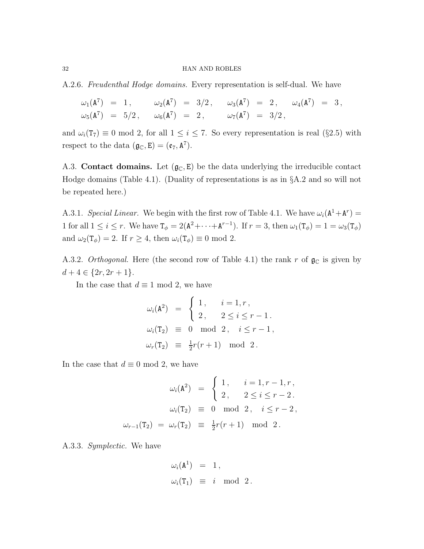A.2.6. Freudenthal Hodge domains. Every representation is self-dual. We have

$$
\begin{array}{rclcrcl} \omega_1(\mathtt{A}^7) & = & 1\,, & \omega_2(\mathtt{A}^7) & = & 3/2\,, & \omega_3(\mathtt{A}^7) & = & 2\,, & \omega_4(\mathtt{A}^7) & = & 3\,, \\ \omega_5(\mathtt{A}^7) & = & 5/2\,, & \omega_6(\mathtt{A}^7) & = & 2\,, & \omega_7(\mathtt{A}^7) & = & 3/2\,, \end{array}
$$

and  $\omega_i(T_7) \equiv 0 \mod 2$ , for all  $1 \leq i \leq 7$ . So every representation is real (§2.5) with respect to the data  $(\mathfrak{g}_{\mathbb{C}}, \mathsf{E}) = (\mathfrak{e}_7, \mathsf{A}^7)$ .

A.3. Contact domains. Let  $(g_{\mathbb{C}}, E)$  be the data underlying the irreducible contact Hodge domains (Table 4.1). (Duality of representations is as in §A.2 and so will not be repeated here.)

A.3.1. Special Linear. We begin with the first row of Table 4.1. We have  $\omega_i(\mathbf{A}^1 + \mathbf{A}^r) =$ 1 for all  $1 \leq i \leq r$ . We have  $\mathsf{T}_{\phi} = 2(\mathsf{A}^2 + \cdots + \mathsf{A}^{r-1})$ . If  $r = 3$ , then  $\omega_1(\mathsf{T}_{\phi}) = 1 = \omega_3(\mathsf{T}_{\phi})$ and  $\omega_2(\mathbf{T}_{\phi}) = 2$ . If  $r \geq 4$ , then  $\omega_i(\mathbf{T}_{\phi}) \equiv 0 \mod 2$ .

A.3.2. Orthogonal. Here (the second row of Table 4.1) the rank r of  $\mathfrak{g}_{\mathbb{C}}$  is given by  $d+4 \in \{2r, 2r+1\}.$ 

In the case that  $d \equiv 1 \mod 2$ , we have

$$
\omega_i(\mathbf{A}^2) = \begin{cases} 1, & i = 1, r, \\ 2, & 2 \le i \le r - 1. \end{cases}
$$
  
\n
$$
\omega_i(\mathbf{T}_2) \equiv 0 \mod 2, \quad i \le r - 1,
$$
  
\n
$$
\omega_r(\mathbf{T}_2) \equiv \frac{1}{2}r(r+1) \mod 2.
$$

In the case that  $d \equiv 0 \mod 2$ , we have

$$
\omega_i(\mathbf{A}^2) = \begin{cases} 1, & i = 1, r - 1, r, \\ 2, & 2 \le i \le r - 2. \end{cases}
$$

$$
\omega_i(\mathbf{T}_2) \equiv 0 \mod 2, \quad i \le r - 2,
$$

$$
\omega_{r-1}(\mathbf{T}_2) = \omega_r(\mathbf{T}_2) \equiv \frac{1}{2}r(r+1) \mod 2.
$$

A.3.3. Symplectic. We have

$$
\begin{array}{rcl}\n\omega_i(\mathtt{A}^1) & = & 1\,, \\
\omega_i(\mathtt{T}_1) & \equiv & i \mod 2\,.\n\end{array}
$$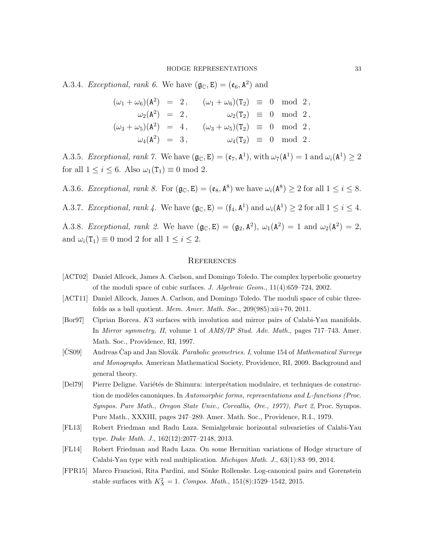A.3.4. Exceptional, rank 6. We have  $(\mathfrak{g}_{\mathbb{C}}, \mathfrak{E}) = (\mathfrak{e}_6, \mathfrak{A}^2)$  and

$$
(\omega_1 + \omega_6)(A^2) = 2, \qquad (\omega_1 + \omega_6)(T_2) \equiv 0 \mod 2, \n\omega_2(A^2) = 2, \qquad \omega_2(T_2) \equiv 0 \mod 2, \n(\omega_3 + \omega_5)(A^2) = 4, \qquad (\omega_3 + \omega_5)(T_2) \equiv 0 \mod 2, \n\omega_4(A^2) = 3, \qquad \omega_4(T_2) \equiv 0 \mod 2.
$$

A.3.5. Exceptional, rank 7. We have  $(\mathfrak{g}_{\mathbb{C}}, \mathbf{E}) = (\mathfrak{e}_{7}, \mathbf{A}^{1}),$  with  $\omega_{7}(\mathbf{A}^{1}) = 1$  and  $\omega_{i}(\mathbf{A}^{1}) \geq 2$ for all  $1 \leq i \leq 6$ . Also  $\omega_1(\mathsf{T}_1) \equiv 0 \mod 2$ .

A.3.6. Exceptional, rank 8. For  $(\mathfrak{g}_{\mathbb{C}}, \mathbf{E}) = (\mathfrak{e}_8, \mathbf{A}^8)$  we have  $\omega_i(\mathbf{A}^8) \ge 2$  for all  $1 \le i \le 8$ .

A.3.7. Exceptional, rank 4. We have  $(\mathfrak{g}_{\mathbb{C}}, \mathbf{E}) = (\mathfrak{f}_4, \mathbf{A}^1)$  and  $\omega_i(\mathbf{A}^1) \geq 2$  for all  $1 \leq i \leq 4$ .

A.3.8. Exceptional, rank 2. We have  $(\mathfrak{g}_{\mathbb{C}}, \mathbf{E}) = (\mathfrak{g}_2, \mathbf{A}^2), \omega_1(\mathbf{A}^2) = 1$  and  $\omega_2(\mathbf{A}^2) = 2$ , and  $\omega_i(T_1) \equiv 0 \mod 2$  for all  $1 \leq i \leq 2$ .

### **REFERENCES**

- [ACT02] Daniel Allcock, James A. Carlson, and Domingo Toledo. The complex hyperbolic geometry of the moduli space of cubic surfaces. *J. Algebraic Geom.*, 11(4):659–724, 2002.
- [ACT11] Daniel Allcock, James A. Carlson, and Domingo Toledo. The moduli space of cubic threefolds as a ball quotient. *Mem. Amer. Math. Soc.*, 209(985):xii+70, 2011.
- [Bor97] Ciprian Borcea. K3 surfaces with involution and mirror pairs of Calabi-Yau manifolds. In *Mirror symmetry, II*, volume 1 of *AMS/IP Stud. Adv. Math.*, pages 717–743. Amer. Math. Soc., Providence, RI, 1997.
- [CS09] Andreas Cap and Jan Slovák. *Parabolic geometries. I*, volume 154 of *Mathematical Surveys and Monographs*. American Mathematical Society, Providence, RI, 2009. Background and general theory.
- [Del79] Pierre Deligne. Variétés de Shimura: interprétation modulaire, et techniques de construction de modèles canoniques. In *Automorphic forms, representations and L-functions (Proc.*) *Sympos. Pure Math., Oregon State Univ., Corvallis, Ore., 1977), Part 2*, Proc. Sympos. Pure Math., XXXIII, pages 247–289. Amer. Math. Soc., Providence, R.I., 1979.
- [FL13] Robert Friedman and Radu Laza. Semialgebraic horizontal subvarieties of Calabi-Yau type. *Duke Math. J.*, 162(12):2077–2148, 2013.
- [FL14] Robert Friedman and Radu Laza. On some Hermitian variations of Hodge structure of Calabi-Yau type with real multiplication. *Michigan Math. J.*, 63(1):83–99, 2014.
- [FPR15] Marco Franciosi, Rita Pardini, and Sönke Rollenske. Log-canonical pairs and Gorenstein stable surfaces with  $K_X^2 = 1$ . *Compos. Math.*, 151(8):1529-1542, 2015.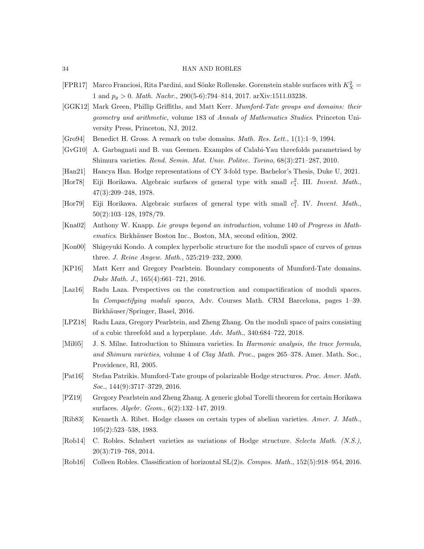- [FPR17] Marco Franciosi, Rita Pardini, and Sönke Rollenske. Gorenstein stable surfaces with  $K_X^2 =$ 1 and  $p_q > 0$ . *Math. Nachr.*, 290(5-6):794-814, 2017. arXiv:1511.03238.
- [GGK12] Mark Green, Phillip Griffiths, and Matt Kerr. *Mumford-Tate groups and domains: their geometry and arithmetic*, volume 183 of *Annals of Mathematics Studies*. Princeton University Press, Princeton, NJ, 2012.
- [Gro94] Benedict H. Gross. A remark on tube domains. *Math. Res. Lett.*, 1(1):1–9, 1994.
- [GvG10] A. Garbagnati and B. van Geemen. Examples of Calabi-Yau threefolds parametrised by Shimura varieties. *Rend. Semin. Mat. Univ. Politec. Torino*, 68(3):271–287, 2010.
- [Han21] Hancya Han. Hodge representations of CY 3-fold type. Bachelor's Thesis, Duke U, 2021.
- [Hor78] Eiji Horikawa. Algebraic surfaces of general type with small  $c_1^2$ . III. *Invent. Math.*, 47(3):209–248, 1978.
- [Hor79] Eiji Horikawa. Algebraic surfaces of general type with small  $c_1^2$ . IV. *Invent. Math.*, 50(2):103–128, 1978/79.
- [Kna02] Anthony W. Knapp. *Lie groups beyond an introduction*, volume 140 of *Progress in Mathematics*. Birkhäuser Boston Inc., Boston, MA, second edition, 2002.
- [Kon00] Shigeyuki Kondo. A complex hyperbolic structure for the moduli space of curves of genus three. *J. Reine Angew. Math.*, 525:219–232, 2000.
- [KP16] Matt Kerr and Gregory Pearlstein. Boundary components of Mumford-Tate domains. *Duke Math. J.*, 165(4):661–721, 2016.
- [Laz16] Radu Laza. Perspectives on the construction and compactification of moduli spaces. In *Compactifying moduli spaces*, Adv. Courses Math. CRM Barcelona, pages 1–39. Birkhäuser/Springer, Basel, 2016.
- [LPZ18] Radu Laza, Gregory Pearlstein, and Zheng Zhang. On the moduli space of pairs consisting of a cubic threefold and a hyperplane. *Adv. Math.*, 340:684–722, 2018.
- [Mil05] J. S. Milne. Introduction to Shimura varieties. In *Harmonic analysis, the trace formula, and Shimura varieties*, volume 4 of *Clay Math. Proc.*, pages 265–378. Amer. Math. Soc., Providence, RI, 2005.
- [Pat16] Stefan Patrikis. Mumford-Tate groups of polarizable Hodge structures. *Proc. Amer. Math. Soc.*, 144(9):3717–3729, 2016.
- [PZ19] Gregory Pearlstein and Zheng Zhang. A generic global Torelli theorem for certain Horikawa surfaces. *Algebr. Geom.*, 6(2):132–147, 2019.
- [Rib83] Kenneth A. Ribet. Hodge classes on certain types of abelian varieties. *Amer. J. Math.*, 105(2):523–538, 1983.
- [Rob14] C. Robles. Schubert varieties as variations of Hodge structure. *Selecta Math. (N.S.)*, 20(3):719–768, 2014.
- [Rob16] Colleen Robles. Classification of horizontal SL(2)s. *Compos. Math.*, 152(5):918–954, 2016.